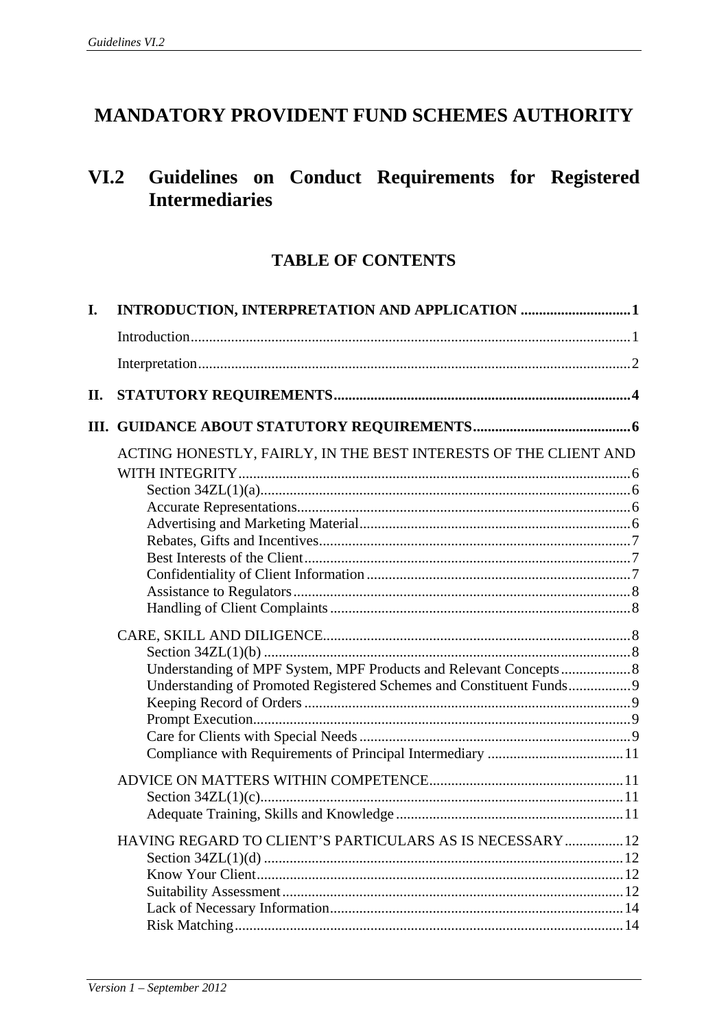# **MANDATORY PROVIDENT FUND SCHEMES AUTHORITY**

# **VI.2 Guidelines on Conduct Requirements for Registered Intermediaries**

## **TABLE OF CONTENTS**

| I.  |                                                                                                                                          |  |
|-----|------------------------------------------------------------------------------------------------------------------------------------------|--|
|     |                                                                                                                                          |  |
|     |                                                                                                                                          |  |
| II. |                                                                                                                                          |  |
|     |                                                                                                                                          |  |
|     | ACTING HONESTLY, FAIRLY, IN THE BEST INTERESTS OF THE CLIENT AND                                                                         |  |
|     | Understanding of MPF System, MPF Products and Relevant Concepts 8<br>Understanding of Promoted Registered Schemes and Constituent Funds9 |  |
|     |                                                                                                                                          |  |
|     | HAVING REGARD TO CLIENT'S PARTICULARS AS IS NECESSARY  12                                                                                |  |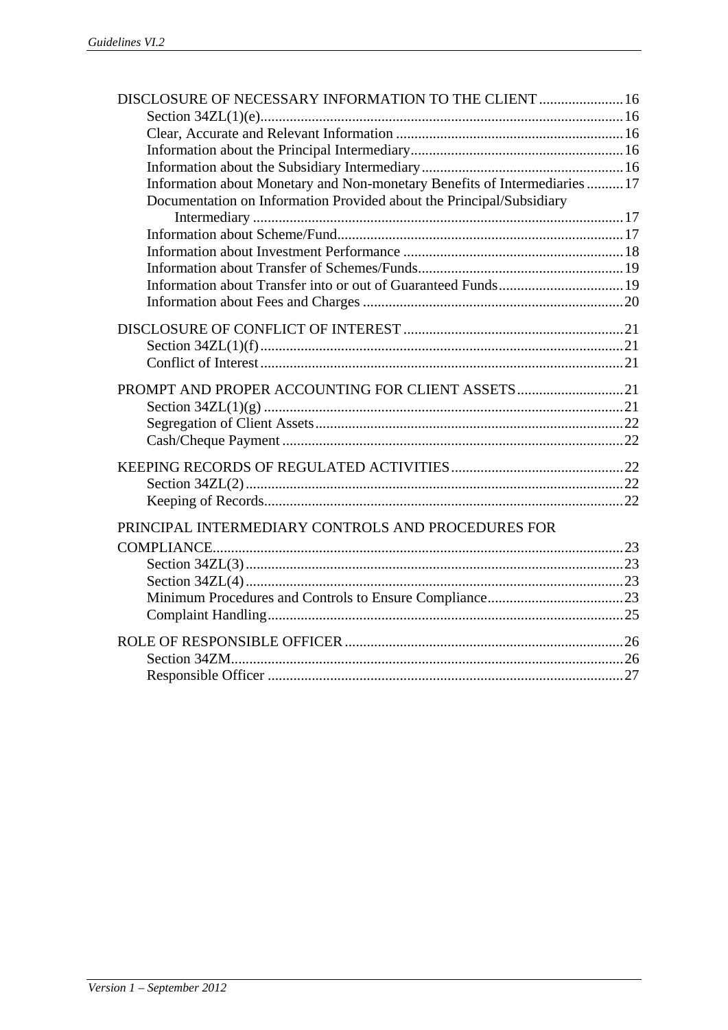| DISCLOSURE OF NECESSARY INFORMATION TO THE CLIENT  16                      |  |
|----------------------------------------------------------------------------|--|
|                                                                            |  |
|                                                                            |  |
|                                                                            |  |
|                                                                            |  |
| Information about Monetary and Non-monetary Benefits of Intermediaries  17 |  |
| Documentation on Information Provided about the Principal/Subsidiary       |  |
|                                                                            |  |
|                                                                            |  |
|                                                                            |  |
|                                                                            |  |
|                                                                            |  |
|                                                                            |  |
|                                                                            |  |
|                                                                            |  |
|                                                                            |  |
|                                                                            |  |
| PROMPT AND PROPER ACCOUNTING FOR CLIENT ASSETS21                           |  |
|                                                                            |  |
|                                                                            |  |
|                                                                            |  |
|                                                                            |  |
|                                                                            |  |
|                                                                            |  |
|                                                                            |  |
| PRINCIPAL INTERMEDIARY CONTROLS AND PROCEDURES FOR                         |  |
|                                                                            |  |
|                                                                            |  |
|                                                                            |  |
|                                                                            |  |
|                                                                            |  |
|                                                                            |  |
|                                                                            |  |
|                                                                            |  |
|                                                                            |  |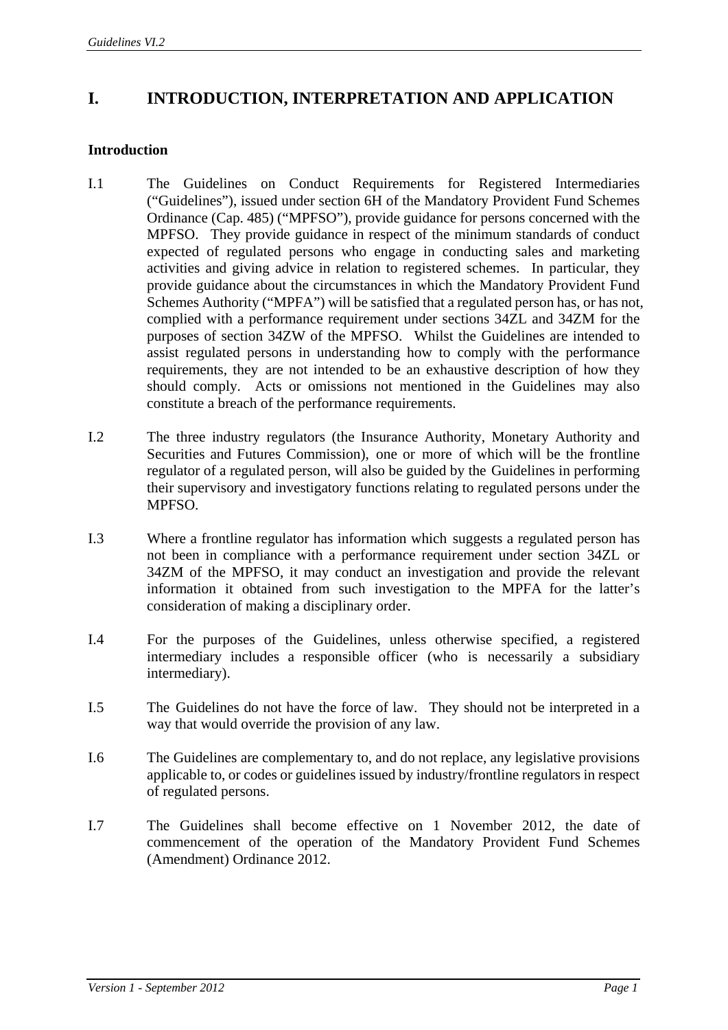## **I. INTRODUCTION, INTERPRETATION AND APPLICATION**

## **Introduction**

- I.1 The Guidelines on Conduct Requirements for Registered Intermediaries ("Guidelines"), issued under section 6H of the Mandatory Provident Fund Schemes Ordinance (Cap. 485) ("MPFSO"), provide guidance for persons concerned with the MPFSO. They provide guidance in respect of the minimum standards of conduct expected of regulated persons who engage in conducting sales and marketing activities and giving advice in relation to registered schemes. In particular, they provide guidance about the circumstances in which the Mandatory Provident Fund Schemes Authority ("MPFA") will be satisfied that a regulated person has, or has not, complied with a performance requirement under sections 34ZL and 34ZM for the purposes of section 34ZW of the MPFSO. Whilst the Guidelines are intended to assist regulated persons in understanding how to comply with the performance requirements, they are not intended to be an exhaustive description of how they should comply. Acts or omissions not mentioned in the Guidelines may also constitute a breach of the performance requirements.
- I.2 The three industry regulators (the Insurance Authority, Monetary Authority and Securities and Futures Commission), one or more of which will be the frontline regulator of a regulated person, will also be guided by the Guidelines in performing their supervisory and investigatory functions relating to regulated persons under the MPFSO.
- I.3 Where a frontline regulator has information which suggests a regulated person has not been in compliance with a performance requirement under section 34ZL or 34ZM of the MPFSO, it may conduct an investigation and provide the relevant information it obtained from such investigation to the MPFA for the latter's consideration of making a disciplinary order.
- I.4 For the purposes of the Guidelines, unless otherwise specified, a registered intermediary includes a responsible officer (who is necessarily a subsidiary intermediary).
- I.5 The Guidelines do not have the force of law. They should not be interpreted in a way that would override the provision of any law.
- I.6 The Guidelines are complementary to, and do not replace, any legislative provisions applicable to, or codes or guidelines issued by industry/frontline regulators in respect of regulated persons.
- I.7 The Guidelines shall become effective on 1 November 2012, the date of commencement of the operation of the Mandatory Provident Fund Schemes (Amendment) Ordinance 2012.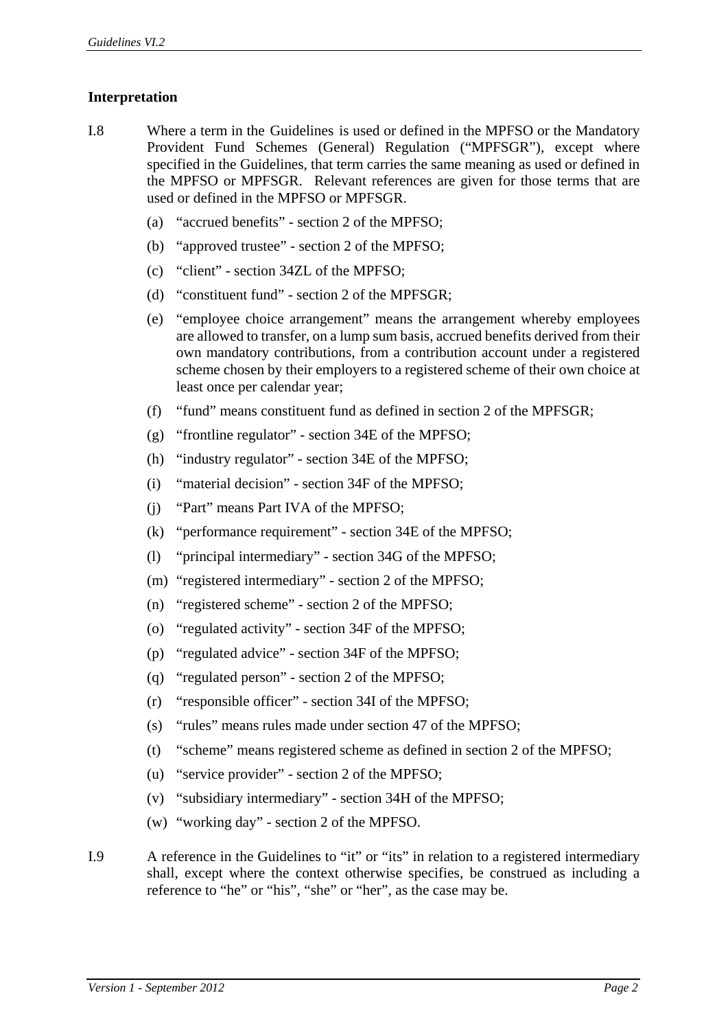## **Interpretation**

- I.8 Where a term in the Guidelines is used or defined in the MPFSO or the Mandatory Provident Fund Schemes (General) Regulation ("MPFSGR"), except where specified in the Guidelines, that term carries the same meaning as used or defined in the MPFSO or MPFSGR. Relevant references are given for those terms that are used or defined in the MPFSO or MPFSGR.
	- (a) "accrued benefits" section 2 of the MPFSO;
	- (b) "approved trustee" section 2 of the MPFSO;
	- (c) "client" section 34ZL of the MPFSO;
	- (d) "constituent fund" section 2 of the MPFSGR;
	- (e) "employee choice arrangement" means the arrangement whereby employees are allowed to transfer, on a lump sum basis, accrued benefits derived from their own mandatory contributions, from a contribution account under a registered scheme chosen by their employers to a registered scheme of their own choice at least once per calendar year;
	- (f) "fund" means constituent fund as defined in section 2 of the MPFSGR;
	- (g) "frontline regulator" section 34E of the MPFSO;
	- (h) "industry regulator" section 34E of the MPFSO;
	- (i) "material decision" section 34F of the MPFSO;
	- (j) "Part" means Part IVA of the MPFSO;
	- (k) "performance requirement" section 34E of the MPFSO;
	- (l) "principal intermediary" section 34G of the MPFSO;
	- (m) "registered intermediary" section 2 of the MPFSO;
	- (n) "registered scheme" section 2 of the MPFSO;
	- (o) "regulated activity" section 34F of the MPFSO;
	- (p) "regulated advice" section 34F of the MPFSO;
	- (q) "regulated person" section 2 of the MPFSO;
	- (r) "responsible officer" section 34I of the MPFSO;
	- (s) "rules" means rules made under section 47 of the MPFSO;
	- (t) "scheme" means registered scheme as defined in section 2 of the MPFSO;
	- (u) "service provider" section 2 of the MPFSO;
	- (v) "subsidiary intermediary" section 34H of the MPFSO;
	- (w) "working day" section 2 of the MPFSO.
- I.9 A reference in the Guidelines to "it" or "its" in relation to a registered intermediary shall, except where the context otherwise specifies, be construed as including a reference to "he" or "his", "she" or "her", as the case may be.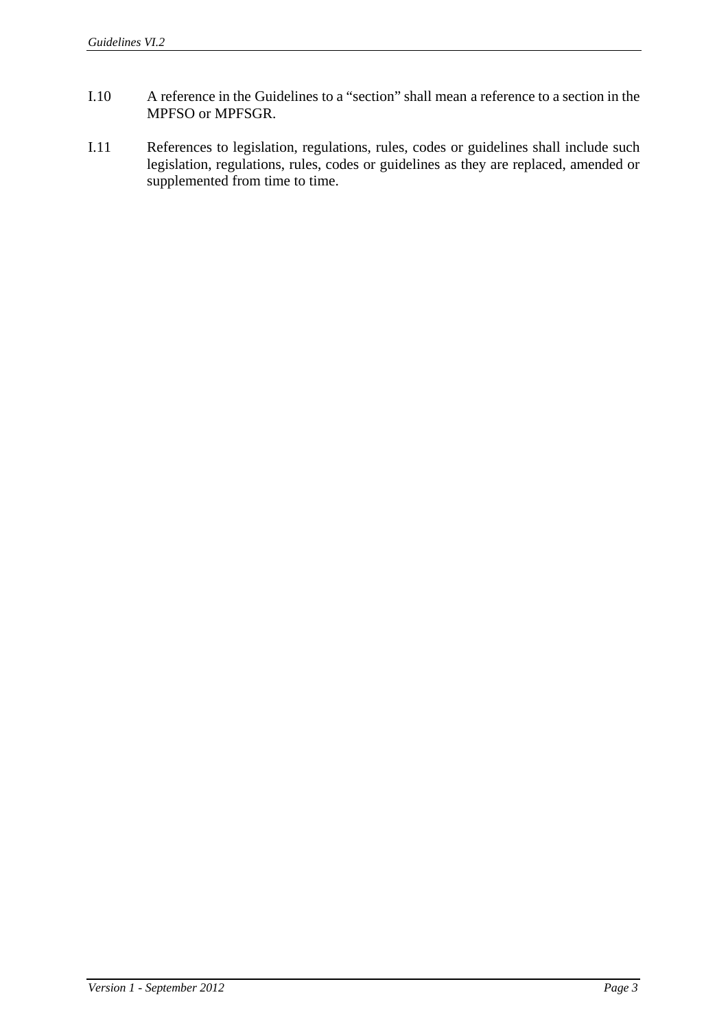- I.10 A reference in the Guidelines to a "section" shall mean a reference to a section in the MPFSO or MPFSGR.
- I.11 References to legislation, regulations, rules, codes or guidelines shall include such legislation, regulations, rules, codes or guidelines as they are replaced, amended or supplemented from time to time.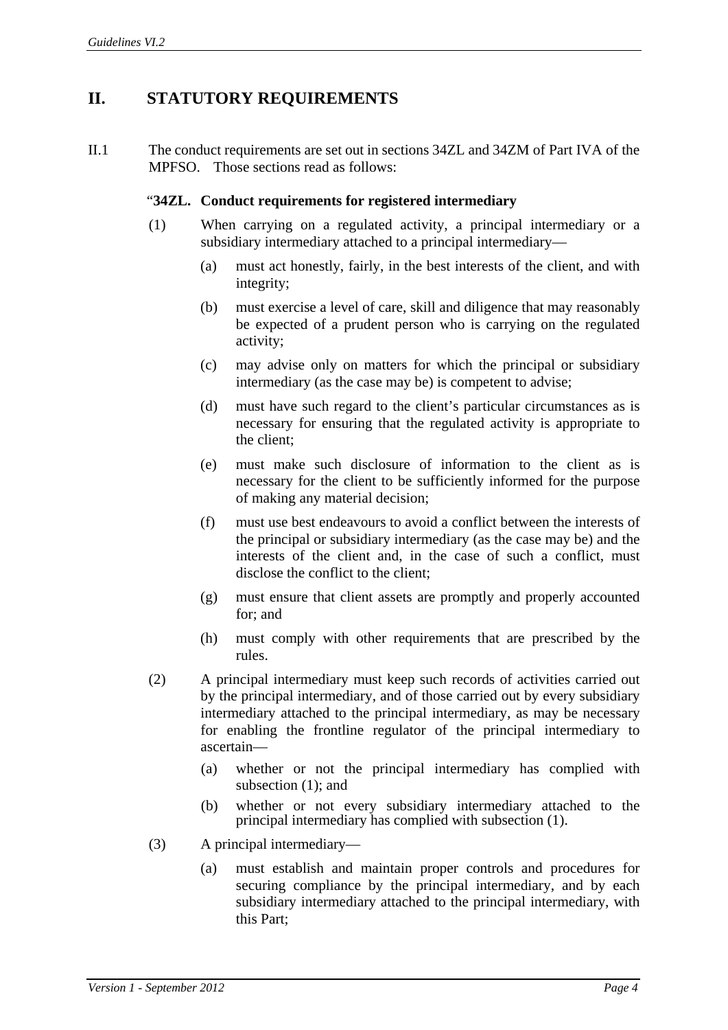## **II. STATUTORY REQUIREMENTS**

II.1 The conduct requirements are set out in sections 34ZL and 34ZM of Part IVA of the MPFSO. Those sections read as follows:

## "**34ZL. Conduct requirements for registered intermediary**

- (1) When carrying on a regulated activity, a principal intermediary or a subsidiary intermediary attached to a principal intermediary—
	- (a) must act honestly, fairly, in the best interests of the client, and with integrity;
	- (b) must exercise a level of care, skill and diligence that may reasonably be expected of a prudent person who is carrying on the regulated activity;
	- (c) may advise only on matters for which the principal or subsidiary intermediary (as the case may be) is competent to advise;
	- (d) must have such regard to the client's particular circumstances as is necessary for ensuring that the regulated activity is appropriate to the client;
	- (e) must make such disclosure of information to the client as is necessary for the client to be sufficiently informed for the purpose of making any material decision;
	- (f) must use best endeavours to avoid a conflict between the interests of the principal or subsidiary intermediary (as the case may be) and the interests of the client and, in the case of such a conflict, must disclose the conflict to the client;
	- (g) must ensure that client assets are promptly and properly accounted for; and
	- (h) must comply with other requirements that are prescribed by the rules.
- (2) A principal intermediary must keep such records of activities carried out by the principal intermediary, and of those carried out by every subsidiary intermediary attached to the principal intermediary, as may be necessary for enabling the frontline regulator of the principal intermediary to ascertain—
	- (a) whether or not the principal intermediary has complied with subsection (1); and
	- (b) whether or not every subsidiary intermediary attached to the principal intermediary has complied with subsection (1).
- (3) A principal intermediary—
	- (a) must establish and maintain proper controls and procedures for securing compliance by the principal intermediary, and by each subsidiary intermediary attached to the principal intermediary, with this Part;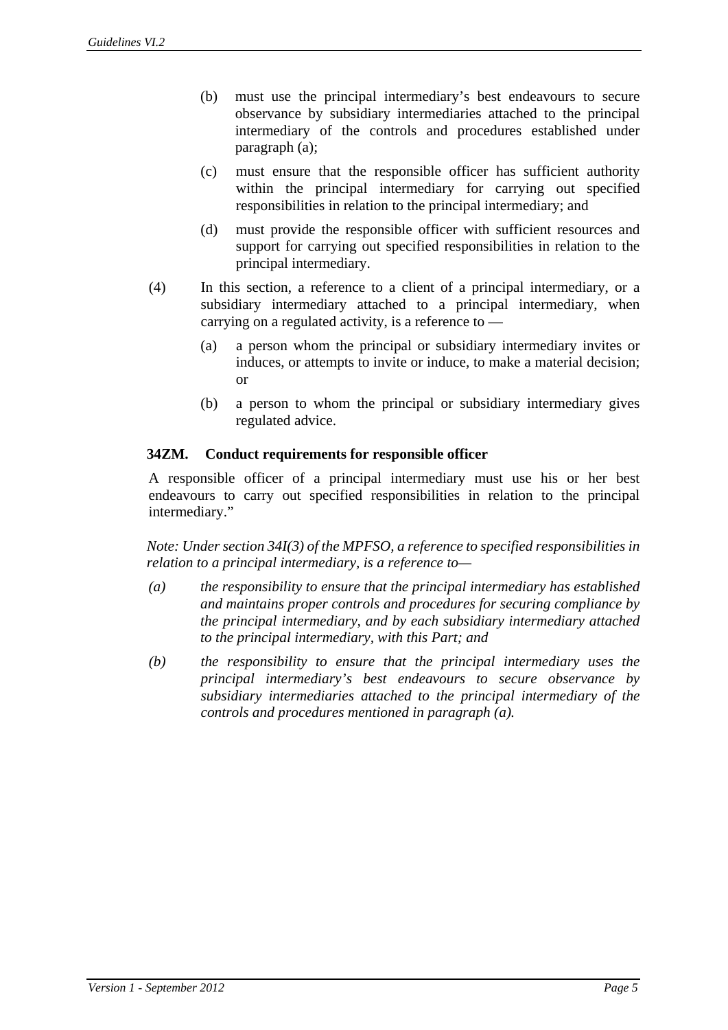- (b) must use the principal intermediary's best endeavours to secure observance by subsidiary intermediaries attached to the principal intermediary of the controls and procedures established under paragraph (a);
- (c) must ensure that the responsible officer has sufficient authority within the principal intermediary for carrying out specified responsibilities in relation to the principal intermediary; and
- (d) must provide the responsible officer with sufficient resources and support for carrying out specified responsibilities in relation to the principal intermediary.
- (4) In this section, a reference to a client of a principal intermediary, or a subsidiary intermediary attached to a principal intermediary, when carrying on a regulated activity, is a reference to —
	- (a) a person whom the principal or subsidiary intermediary invites or induces, or attempts to invite or induce, to make a material decision; or
	- (b) a person to whom the principal or subsidiary intermediary gives regulated advice.

## **34ZM. Conduct requirements for responsible officer**

A responsible officer of a principal intermediary must use his or her best endeavours to carry out specified responsibilities in relation to the principal intermediary."

*Note: Under section 34I(3) of the MPFSO, a reference to specified responsibilities in relation to a principal intermediary, is a reference to—*

- *(a) the responsibility to ensure that the principal intermediary has established and maintains proper controls and procedures for securing compliance by the principal intermediary, and by each subsidiary intermediary attached to the principal intermediary, with this Part; and*
- *(b) the responsibility to ensure that the principal intermediary uses the principal intermediary's best endeavours to secure observance by subsidiary intermediaries attached to the principal intermediary of the controls and procedures mentioned in paragraph (a).*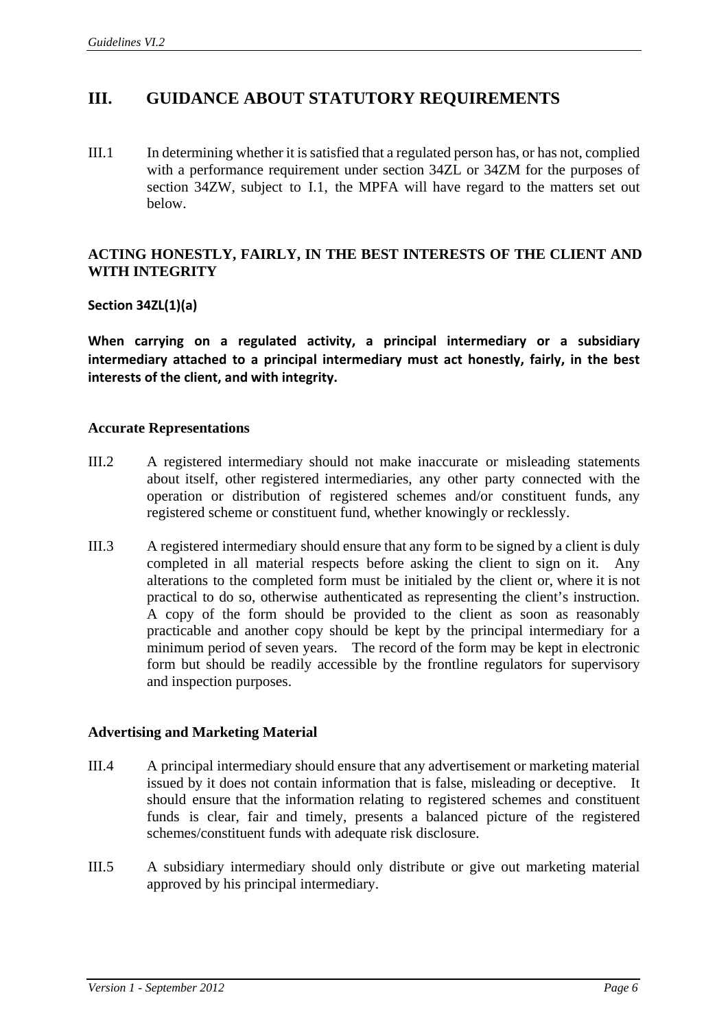## **III. GUIDANCE ABOUT STATUTORY REQUIREMENTS**

III.1 In determining whether it is satisfied that a regulated person has, or has not, complied with a performance requirement under section 34ZL or 34ZM for the purposes of section 34ZW, subject to I.1, the MPFA will have regard to the matters set out below.

## **ACTING HONESTLY, FAIRLY, IN THE BEST INTERESTS OF THE CLIENT AND WITH INTEGRITY**

## **Section 34ZL(1)(a)**

**When carrying on a regulated activity, a principal intermediary or a subsidiary intermediary attached to a principal intermediary must act honestly, fairly, in the best interests of the client, and with integrity.** 

## **Accurate Representations**

- III.2 A registered intermediary should not make inaccurate or misleading statements about itself, other registered intermediaries, any other party connected with the operation or distribution of registered schemes and/or constituent funds, any registered scheme or constituent fund, whether knowingly or recklessly.
- III.3 A registered intermediary should ensure that any form to be signed by a client is duly completed in all material respects before asking the client to sign on it. Any alterations to the completed form must be initialed by the client or, where it is not practical to do so, otherwise authenticated as representing the client's instruction. A copy of the form should be provided to the client as soon as reasonably practicable and another copy should be kept by the principal intermediary for a minimum period of seven years. The record of the form may be kept in electronic form but should be readily accessible by the frontline regulators for supervisory and inspection purposes.

#### **Advertising and Marketing Material**

- III.4 A principal intermediary should ensure that any advertisement or marketing material issued by it does not contain information that is false, misleading or deceptive. It should ensure that the information relating to registered schemes and constituent funds is clear, fair and timely, presents a balanced picture of the registered schemes/constituent funds with adequate risk disclosure.
- III.5 A subsidiary intermediary should only distribute or give out marketing material approved by his principal intermediary.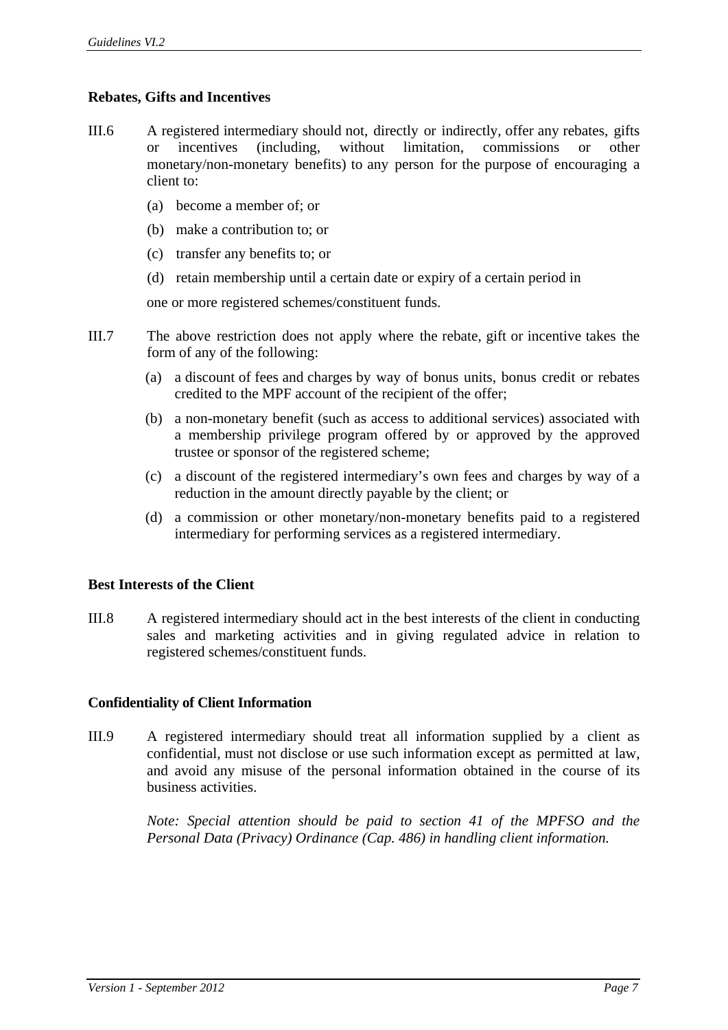## **Rebates, Gifts and Incentives**

- III.6 A registered intermediary should not, directly or indirectly, offer any rebates, gifts incentives (including, without limitation, commissions or other monetary/non-monetary benefits) to any person for the purpose of encouraging a client to:
	- (a) become a member of; or
	- (b) make a contribution to; or
	- (c) transfer any benefits to; or
	- (d) retain membership until a certain date or expiry of a certain period in

one or more registered schemes/constituent funds.

- III.7 The above restriction does not apply where the rebate, gift or incentive takes the form of any of the following:
	- (a) a discount of fees and charges by way of bonus units, bonus credit or rebates credited to the MPF account of the recipient of the offer;
	- (b) a non-monetary benefit (such as access to additional services) associated with a membership privilege program offered by or approved by the approved trustee or sponsor of the registered scheme;
	- (c) a discount of the registered intermediary's own fees and charges by way of a reduction in the amount directly payable by the client; or
	- (d) a commission or other monetary/non-monetary benefits paid to a registered intermediary for performing services as a registered intermediary.

## **Best Interests of the Client**

III.8 A registered intermediary should act in the best interests of the client in conducting sales and marketing activities and in giving regulated advice in relation to registered schemes/constituent funds.

#### **Confidentiality of Client Information**

III.9 A registered intermediary should treat all information supplied by a client as confidential, must not disclose or use such information except as permitted at law, and avoid any misuse of the personal information obtained in the course of its business activities.

> *Note: Special attention should be paid to section 41 of the MPFSO and the Personal Data (Privacy) Ordinance (Cap. 486) in handling client information.*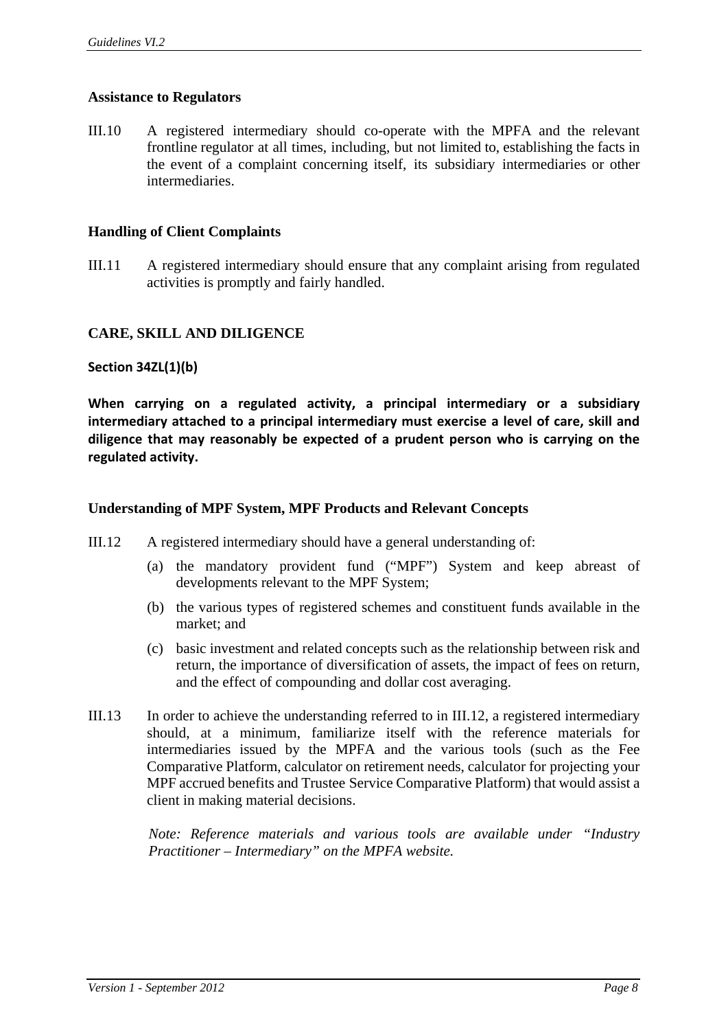## **Assistance to Regulators**

III.10 A registered intermediary should co-operate with the MPFA and the relevant frontline regulator at all times, including, but not limited to, establishing the facts in the event of a complaint concerning itself, its subsidiary intermediaries or other intermediaries.

#### **Handling of Client Complaints**

III.11 A registered intermediary should ensure that any complaint arising from regulated activities is promptly and fairly handled.

## **CARE, SKILL AND DILIGENCE**

#### **Section 34ZL(1)(b)**

**When carrying on a regulated activity, a principal intermediary or a subsidiary intermediary attached to a principal intermediary must exercise a level of care, skill and diligence that may reasonably be expected of a prudent person who is carrying on the regulated activity.**

#### **Understanding of MPF System, MPF Products and Relevant Concepts**

- III.12 A registered intermediary should have a general understanding of:
	- (a) the mandatory provident fund ("MPF") System and keep abreast of developments relevant to the MPF System;
	- (b) the various types of registered schemes and constituent funds available in the market; and
	- (c) basic investment and related concepts such as the relationship between risk and return, the importance of diversification of assets, the impact of fees on return, and the effect of compounding and dollar cost averaging.
- III.13 In order to achieve the understanding referred to in III.12, a registered intermediary should, at a minimum, familiarize itself with the reference materials for intermediaries issued by the MPFA and the various tools (such as the Fee Comparative Platform, calculator on retirement needs, calculator for projecting your MPF accrued benefits and Trustee Service Comparative Platform) that would assist a client in making material decisions.

*Note: Reference materials and various tools are available under "Industry Practitioner – Intermediary" on the MPFA website.*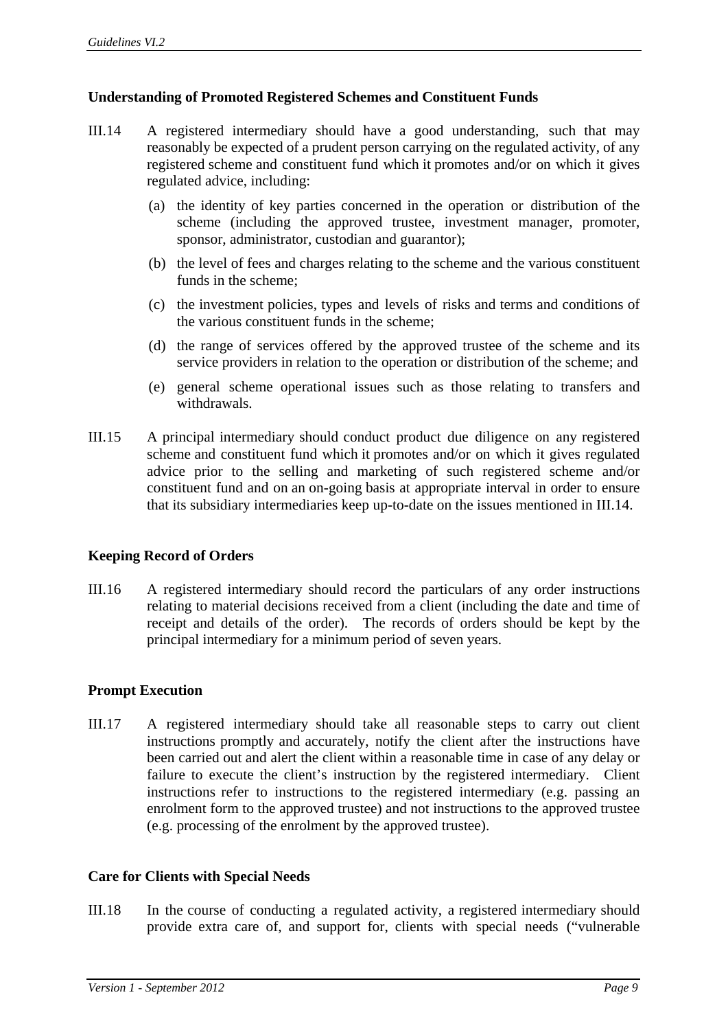## **Understanding of Promoted Registered Schemes and Constituent Funds**

- III.14 A registered intermediary should have a good understanding, such that may reasonably be expected of a prudent person carrying on the regulated activity, of any registered scheme and constituent fund which it promotes and/or on which it gives regulated advice, including:
	- (a) the identity of key parties concerned in the operation or distribution of the scheme (including the approved trustee, investment manager, promoter, sponsor, administrator, custodian and guarantor);
	- (b) the level of fees and charges relating to the scheme and the various constituent funds in the scheme;
	- (c) the investment policies, types and levels of risks and terms and conditions of the various constituent funds in the scheme;
	- (d) the range of services offered by the approved trustee of the scheme and its service providers in relation to the operation or distribution of the scheme; and
	- (e) general scheme operational issues such as those relating to transfers and withdrawals.
- III.15 A principal intermediary should conduct product due diligence on any registered scheme and constituent fund which it promotes and/or on which it gives regulated advice prior to the selling and marketing of such registered scheme and/or constituent fund and on an on-going basis at appropriate interval in order to ensure that its subsidiary intermediaries keep up-to-date on the issues mentioned in III.14.

## **Keeping Record of Orders**

III.16 A registered intermediary should record the particulars of any order instructions relating to material decisions received from a client (including the date and time of receipt and details of the order). The records of orders should be kept by the principal intermediary for a minimum period of seven years.

#### **Prompt Execution**

III.17 A registered intermediary should take all reasonable steps to carry out client instructions promptly and accurately, notify the client after the instructions have been carried out and alert the client within a reasonable time in case of any delay or failure to execute the client's instruction by the registered intermediary. Client instructions refer to instructions to the registered intermediary (e.g. passing an enrolment form to the approved trustee) and not instructions to the approved trustee (e.g. processing of the enrolment by the approved trustee).

#### **Care for Clients with Special Needs**

III.18 In the course of conducting a regulated activity, a registered intermediary should provide extra care of, and support for, clients with special needs ("vulnerable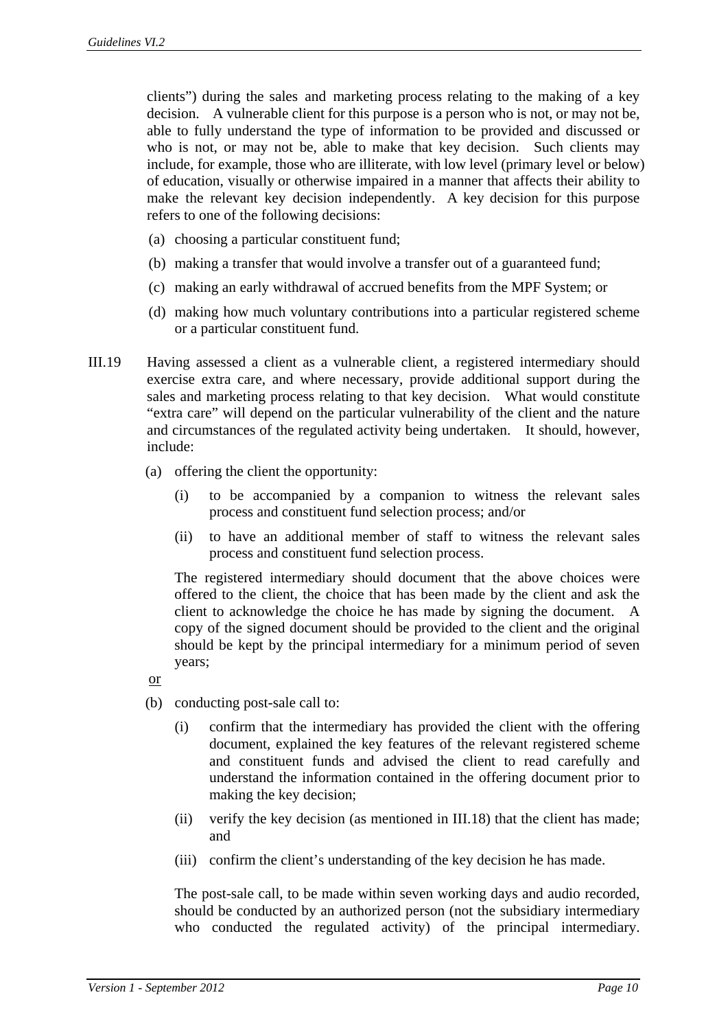clients") during the sales and marketing process relating to the making of a key decision. A vulnerable client for this purpose is a person who is not, or may not be, able to fully understand the type of information to be provided and discussed or who is not, or may not be, able to make that key decision. Such clients may include, for example, those who are illiterate, with low level (primary level or below) of education, visually or otherwise impaired in a manner that affects their ability to make the relevant key decision independently. A key decision for this purpose refers to one of the following decisions:

- (a) choosing a particular constituent fund;
- (b) making a transfer that would involve a transfer out of a guaranteed fund;
- (c) making an early withdrawal of accrued benefits from the MPF System; or
- (d) making how much voluntary contributions into a particular registered scheme or a particular constituent fund.
- III.19 Having assessed a client as a vulnerable client, a registered intermediary should exercise extra care, and where necessary, provide additional support during the sales and marketing process relating to that key decision. What would constitute "extra care" will depend on the particular vulnerability of the client and the nature and circumstances of the regulated activity being undertaken. It should, however, include:
	- (a) offering the client the opportunity:
		- (i) to be accompanied by a companion to witness the relevant sales process and constituent fund selection process; and/or
		- (ii) to have an additional member of staff to witness the relevant sales process and constituent fund selection process.

The registered intermediary should document that the above choices were offered to the client, the choice that has been made by the client and ask the client to acknowledge the choice he has made by signing the document. A copy of the signed document should be provided to the client and the original should be kept by the principal intermediary for a minimum period of seven years;

or

- (b) conducting post-sale call to:
	- (i) confirm that the intermediary has provided the client with the offering document, explained the key features of the relevant registered scheme and constituent funds and advised the client to read carefully and understand the information contained in the offering document prior to making the key decision;
	- (ii) verify the key decision (as mentioned in III.18) that the client has made; and
	- (iii) confirm the client's understanding of the key decision he has made.

The post-sale call, to be made within seven working days and audio recorded, should be conducted by an authorized person (not the subsidiary intermediary who conducted the regulated activity) of the principal intermediary.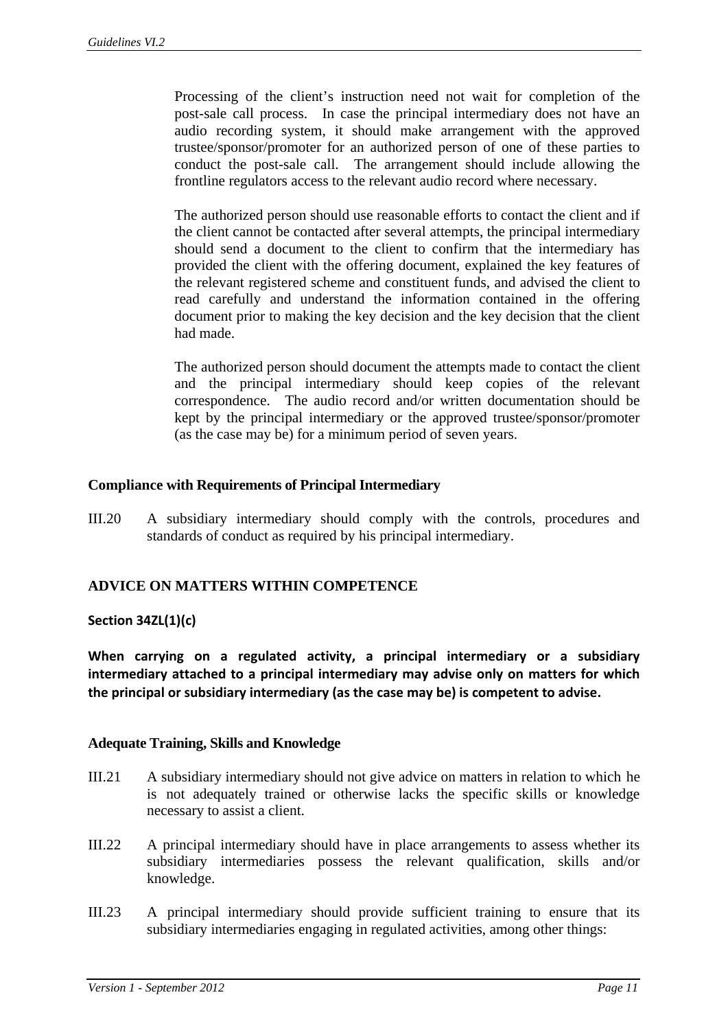Processing of the client's instruction need not wait for completion of the post-sale call process. In case the principal intermediary does not have an audio recording system, it should make arrangement with the approved trustee/sponsor/promoter for an authorized person of one of these parties to conduct the post-sale call. The arrangement should include allowing the frontline regulators access to the relevant audio record where necessary.

The authorized person should use reasonable efforts to contact the client and if the client cannot be contacted after several attempts, the principal intermediary should send a document to the client to confirm that the intermediary has provided the client with the offering document, explained the key features of the relevant registered scheme and constituent funds, and advised the client to read carefully and understand the information contained in the offering document prior to making the key decision and the key decision that the client had made.

The authorized person should document the attempts made to contact the client and the principal intermediary should keep copies of the relevant correspondence. The audio record and/or written documentation should be kept by the principal intermediary or the approved trustee/sponsor/promoter (as the case may be) for a minimum period of seven years.

## **Compliance with Requirements of Principal Intermediary**

III.20 A subsidiary intermediary should comply with the controls, procedures and standards of conduct as required by his principal intermediary.

## **ADVICE ON MATTERS WITHIN COMPETENCE**

#### **Section 34ZL(1)(c)**

**When carrying on a regulated activity, a principal intermediary or a subsidiary intermediary attached to a principal intermediary may advise only on matters for which the principal or subsidiary intermediary (as the case may be) is competent to advise.**

#### **Adequate Training, Skills and Knowledge**

- III.21 A subsidiary intermediary should not give advice on matters in relation to which he is not adequately trained or otherwise lacks the specific skills or knowledge necessary to assist a client.
- III.22 A principal intermediary should have in place arrangements to assess whether its subsidiary intermediaries possess the relevant qualification, skills and/or knowledge.
- III.23 A principal intermediary should provide sufficient training to ensure that its subsidiary intermediaries engaging in regulated activities, among other things: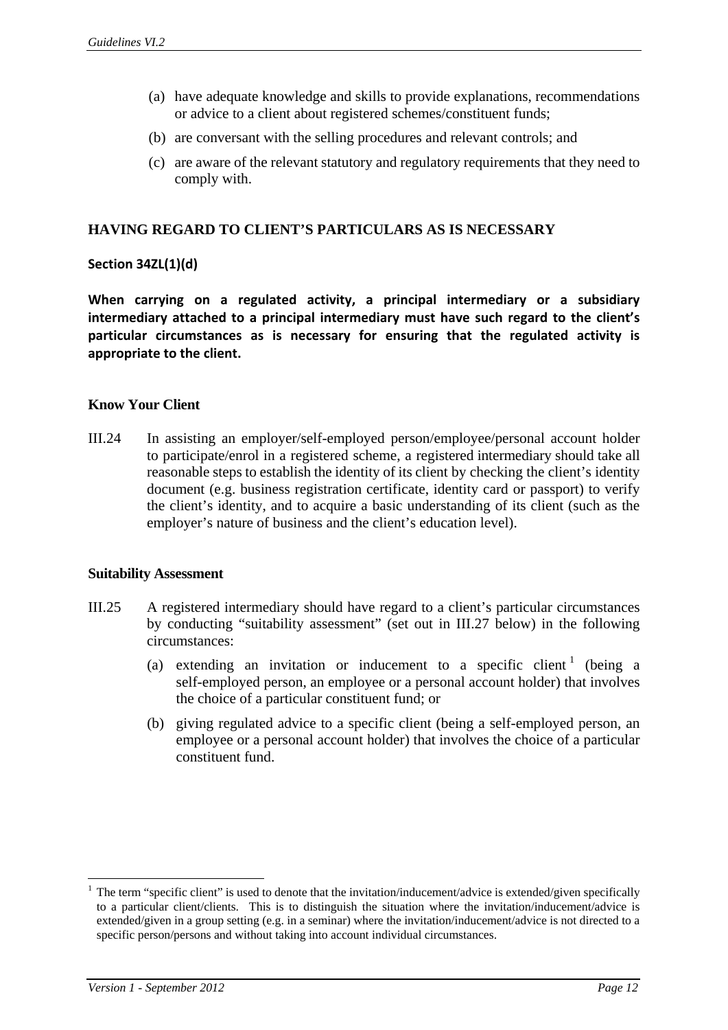- (a) have adequate knowledge and skills to provide explanations, recommendations or advice to a client about registered schemes/constituent funds;
- (b) are conversant with the selling procedures and relevant controls; and
- (c) are aware of the relevant statutory and regulatory requirements that they need to comply with.

#### **HAVING REGARD TO CLIENT'S PARTICULARS AS IS NECESSARY**

#### **Section 34ZL(1)(d)**

**When carrying on a regulated activity, a principal intermediary or a subsidiary intermediary attached to a principal intermediary must have such regard to the client's particular circumstances as is necessary for ensuring that the regulated activity is appropriate to the client.**

## **Know Your Client**

III.24 In assisting an employer/self-employed person/employee/personal account holder to participate/enrol in a registered scheme, a registered intermediary should take all reasonable steps to establish the identity of its client by checking the client's identity document (e.g. business registration certificate, identity card or passport) to verify the client's identity, and to acquire a basic understanding of its client (such as the employer's nature of business and the client's education level).

#### **Suitability Assessment**

- III.25 A registered intermediary should have regard to a client's particular circumstances by conducting "suitability assessment" (set out in III.27 below) in the following circumstances:
	- (a) extending an invitation or inducement to a specific client  $\frac{1}{1}$  (being a self-employed person, an employee or a personal account holder) that involves the choice of a particular constituent fund; or
	- (b) giving regulated advice to a specific client (being a self-employed person, an employee or a personal account holder) that involves the choice of a particular constituent fund.

1

<sup>1</sup> The term "specific client" is used to denote that the invitation/inducement/advice is extended/given specifically to a particular client/clients. This is to distinguish the situation where the invitation/inducement/advice is extended/given in a group setting (e.g. in a seminar) where the invitation/inducement/advice is not directed to a specific person/persons and without taking into account individual circumstances.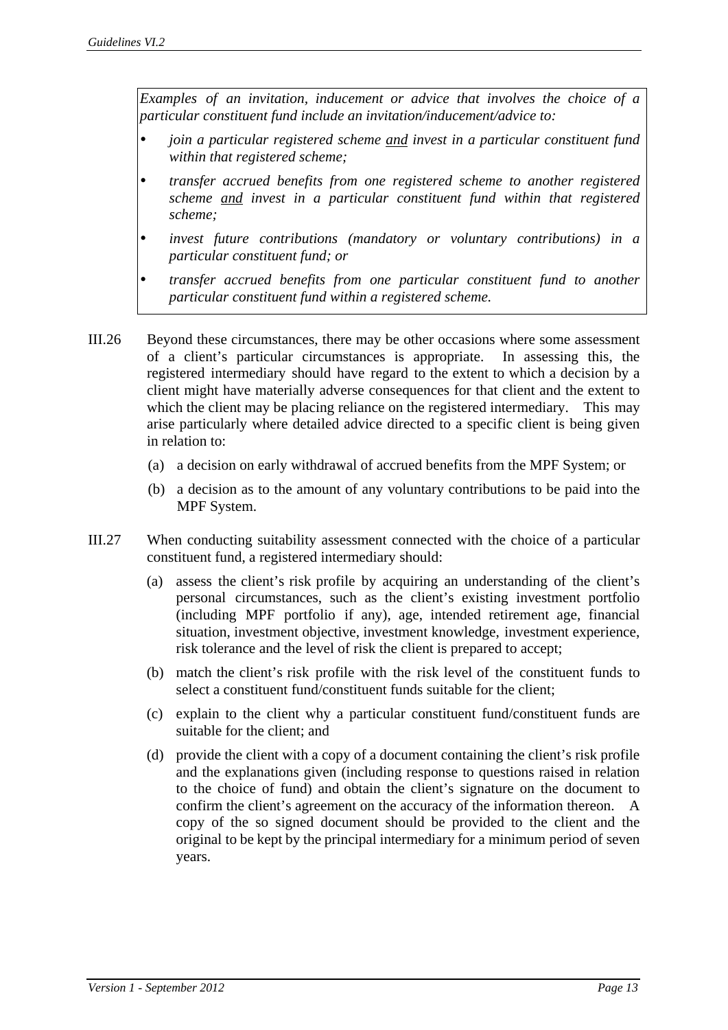*Examples of an invitation, inducement or advice that involves the choice of a particular constituent fund include an invitation/inducement/advice to:* 

- *join a particular registered scheme and invest in a particular constituent fund within that registered scheme;*
- *transfer accrued benefits from one registered scheme to another registered scheme and invest in a particular constituent fund within that registered scheme;*
- *invest future contributions (mandatory or voluntary contributions) in a particular constituent fund; or*
- *transfer accrued benefits from one particular constituent fund to another particular constituent fund within a registered scheme.*
- III.26 Beyond these circumstances, there may be other occasions where some assessment of a client's particular circumstances is appropriate. In assessing this, the registered intermediary should have regard to the extent to which a decision by a client might have materially adverse consequences for that client and the extent to which the client may be placing reliance on the registered intermediary. This may arise particularly where detailed advice directed to a specific client is being given in relation to:
	- (a) a decision on early withdrawal of accrued benefits from the MPF System; or
	- (b) a decision as to the amount of any voluntary contributions to be paid into the MPF System.
- III.27 When conducting suitability assessment connected with the choice of a particular constituent fund, a registered intermediary should:
	- (a) assess the client's risk profile by acquiring an understanding of the client's personal circumstances, such as the client's existing investment portfolio (including MPF portfolio if any), age, intended retirement age, financial situation, investment objective, investment knowledge, investment experience, risk tolerance and the level of risk the client is prepared to accept;
	- (b) match the client's risk profile with the risk level of the constituent funds to select a constituent fund/constituent funds suitable for the client;
	- (c) explain to the client why a particular constituent fund/constituent funds are suitable for the client; and
	- (d) provide the client with a copy of a document containing the client's risk profile and the explanations given (including response to questions raised in relation to the choice of fund) and obtain the client's signature on the document to confirm the client's agreement on the accuracy of the information thereon. A copy of the so signed document should be provided to the client and the original to be kept by the principal intermediary for a minimum period of seven years.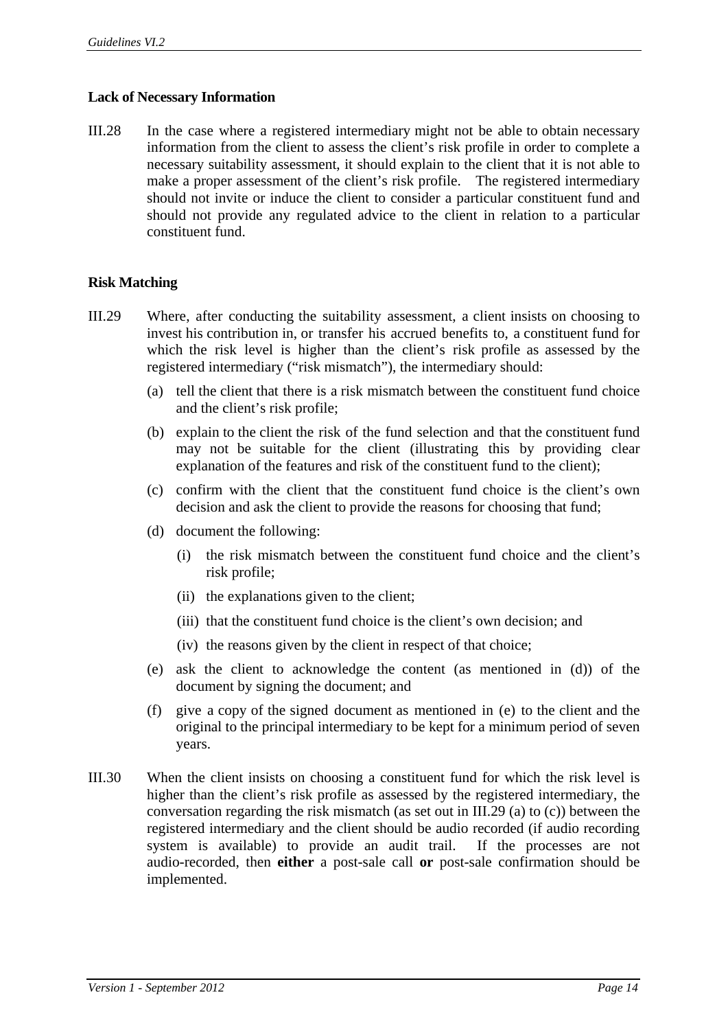## **Lack of Necessary Information**

III.28 In the case where a registered intermediary might not be able to obtain necessary information from the client to assess the client's risk profile in order to complete a necessary suitability assessment, it should explain to the client that it is not able to make a proper assessment of the client's risk profile. The registered intermediary should not invite or induce the client to consider a particular constituent fund and should not provide any regulated advice to the client in relation to a particular constituent fund.

#### **Risk Matching**

- III.29 Where, after conducting the suitability assessment, a client insists on choosing to invest his contribution in, or transfer his accrued benefits to, a constituent fund for which the risk level is higher than the client's risk profile as assessed by the registered intermediary ("risk mismatch"), the intermediary should:
	- (a) tell the client that there is a risk mismatch between the constituent fund choice and the client's risk profile;
	- (b) explain to the client the risk of the fund selection and that the constituent fund may not be suitable for the client (illustrating this by providing clear explanation of the features and risk of the constituent fund to the client);
	- (c) confirm with the client that the constituent fund choice is the client's own decision and ask the client to provide the reasons for choosing that fund;
	- (d) document the following:
		- (i) the risk mismatch between the constituent fund choice and the client's risk profile;
		- (ii) the explanations given to the client;
		- (iii) that the constituent fund choice is the client's own decision; and
		- (iv) the reasons given by the client in respect of that choice;
	- (e) ask the client to acknowledge the content (as mentioned in (d)) of the document by signing the document; and
	- (f) give a copy of the signed document as mentioned in (e) to the client and the original to the principal intermediary to be kept for a minimum period of seven years.
- III.30 When the client insists on choosing a constituent fund for which the risk level is higher than the client's risk profile as assessed by the registered intermediary, the conversation regarding the risk mismatch (as set out in III.29 (a) to (c)) between the registered intermediary and the client should be audio recorded (if audio recording system is available) to provide an audit trail. If the processes are not audio-recorded, then **either** a post-sale call **or** post-sale confirmation should be implemented.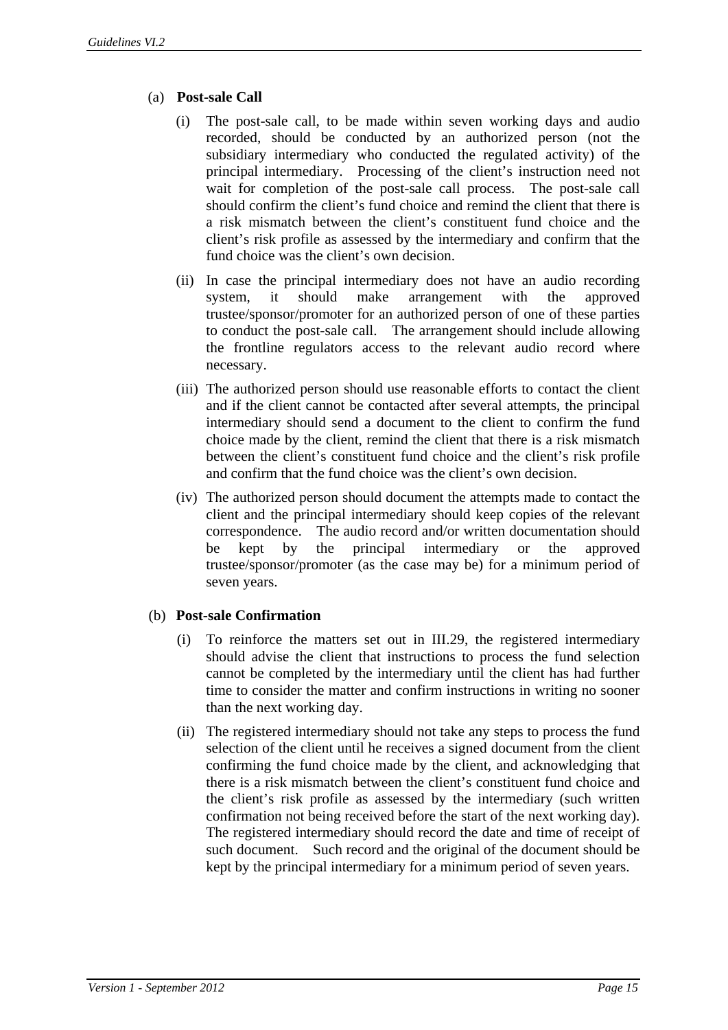- (a) **Post-sale Call** 
	- (i) The post-sale call, to be made within seven working days and audio recorded, should be conducted by an authorized person (not the subsidiary intermediary who conducted the regulated activity) of the principal intermediary. Processing of the client's instruction need not wait for completion of the post-sale call process. The post-sale call should confirm the client's fund choice and remind the client that there is a risk mismatch between the client's constituent fund choice and the client's risk profile as assessed by the intermediary and confirm that the fund choice was the client's own decision.
	- (ii) In case the principal intermediary does not have an audio recording system, it should make arrangement with the approved trustee/sponsor/promoter for an authorized person of one of these parties to conduct the post-sale call. The arrangement should include allowing the frontline regulators access to the relevant audio record where necessary.
	- (iii) The authorized person should use reasonable efforts to contact the client and if the client cannot be contacted after several attempts, the principal intermediary should send a document to the client to confirm the fund choice made by the client, remind the client that there is a risk mismatch between the client's constituent fund choice and the client's risk profile and confirm that the fund choice was the client's own decision.
	- (iv) The authorized person should document the attempts made to contact the client and the principal intermediary should keep copies of the relevant correspondence. The audio record and/or written documentation should be kept by the principal intermediary or the approved trustee/sponsor/promoter (as the case may be) for a minimum period of seven years.

## (b) **Post-sale Confirmation**

- (i) To reinforce the matters set out in III.29, the registered intermediary should advise the client that instructions to process the fund selection cannot be completed by the intermediary until the client has had further time to consider the matter and confirm instructions in writing no sooner than the next working day.
- (ii) The registered intermediary should not take any steps to process the fund selection of the client until he receives a signed document from the client confirming the fund choice made by the client, and acknowledging that there is a risk mismatch between the client's constituent fund choice and the client's risk profile as assessed by the intermediary (such written confirmation not being received before the start of the next working day). The registered intermediary should record the date and time of receipt of such document. Such record and the original of the document should be kept by the principal intermediary for a minimum period of seven years.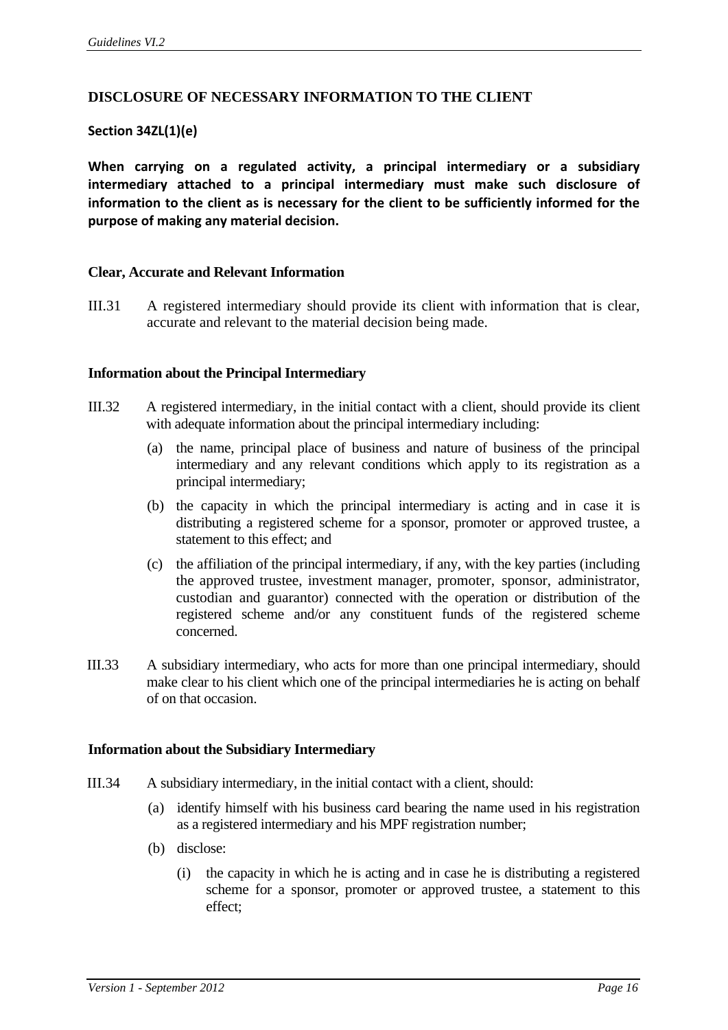## **DISCLOSURE OF NECESSARY INFORMATION TO THE CLIENT**

## **Section 34ZL(1)(e)**

**When carrying on a regulated activity, a principal intermediary or a subsidiary intermediary attached to a principal intermediary must make such disclosure of information to the client as is necessary for the client to be sufficiently informed for the purpose of making any material decision.**

#### **Clear, Accurate and Relevant Information**

III.31 A registered intermediary should provide its client with information that is clear, accurate and relevant to the material decision being made.

#### **Information about the Principal Intermediary**

- III.32 A registered intermediary, in the initial contact with a client, should provide its client with adequate information about the principal intermediary including:
	- (a) the name, principal place of business and nature of business of the principal intermediary and any relevant conditions which apply to its registration as a principal intermediary;
	- (b) the capacity in which the principal intermediary is acting and in case it is distributing a registered scheme for a sponsor, promoter or approved trustee, a statement to this effect; and
	- (c) the affiliation of the principal intermediary, if any, with the key parties (including the approved trustee, investment manager, promoter, sponsor, administrator, custodian and guarantor) connected with the operation or distribution of the registered scheme and/or any constituent funds of the registered scheme concerned.
- III.33 A subsidiary intermediary, who acts for more than one principal intermediary, should make clear to his client which one of the principal intermediaries he is acting on behalf of on that occasion.

#### **Information about the Subsidiary Intermediary**

- III.34 A subsidiary intermediary, in the initial contact with a client, should:
	- (a) identify himself with his business card bearing the name used in his registration as a registered intermediary and his MPF registration number;
	- (b) disclose:
		- (i) the capacity in which he is acting and in case he is distributing a registered scheme for a sponsor, promoter or approved trustee, a statement to this effect;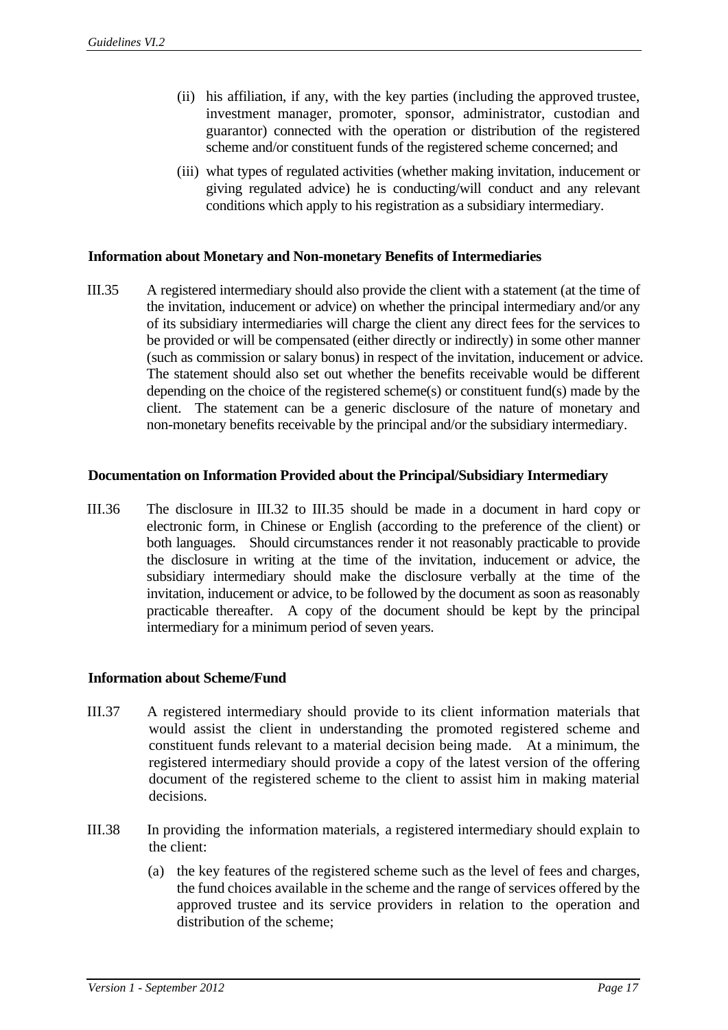- (ii) his affiliation, if any, with the key parties (including the approved trustee, investment manager, promoter, sponsor, administrator, custodian and guarantor) connected with the operation or distribution of the registered scheme and/or constituent funds of the registered scheme concerned; and
- (iii) what types of regulated activities (whether making invitation, inducement or giving regulated advice) he is conducting/will conduct and any relevant conditions which apply to his registration as a subsidiary intermediary.

#### **Information about Monetary and Non-monetary Benefits of Intermediaries**

III.35 A registered intermediary should also provide the client with a statement (at the time of the invitation, inducement or advice) on whether the principal intermediary and/or any of its subsidiary intermediaries will charge the client any direct fees for the services to be provided or will be compensated (either directly or indirectly) in some other manner (such as commission or salary bonus) in respect of the invitation, inducement or advice. The statement should also set out whether the benefits receivable would be different depending on the choice of the registered scheme(s) or constituent fund(s) made by the client. The statement can be a generic disclosure of the nature of monetary and non-monetary benefits receivable by the principal and/or the subsidiary intermediary.

#### **Documentation on Information Provided about the Principal/Subsidiary Intermediary**

III.36 The disclosure in III.32 to III.35 should be made in a document in hard copy or electronic form, in Chinese or English (according to the preference of the client) or both languages. Should circumstances render it not reasonably practicable to provide the disclosure in writing at the time of the invitation, inducement or advice, the subsidiary intermediary should make the disclosure verbally at the time of the invitation, inducement or advice, to be followed by the document as soon as reasonably practicable thereafter. A copy of the document should be kept by the principal intermediary for a minimum period of seven years.

#### **Information about Scheme/Fund**

- III.37 A registered intermediary should provide to its client information materials that would assist the client in understanding the promoted registered scheme and constituent funds relevant to a material decision being made. At a minimum, the registered intermediary should provide a copy of the latest version of the offering document of the registered scheme to the client to assist him in making material decisions.
- III.38 In providing the information materials, a registered intermediary should explain to the client:
	- (a) the key features of the registered scheme such as the level of fees and charges, the fund choices available in the scheme and the range of services offered by the approved trustee and its service providers in relation to the operation and distribution of the scheme;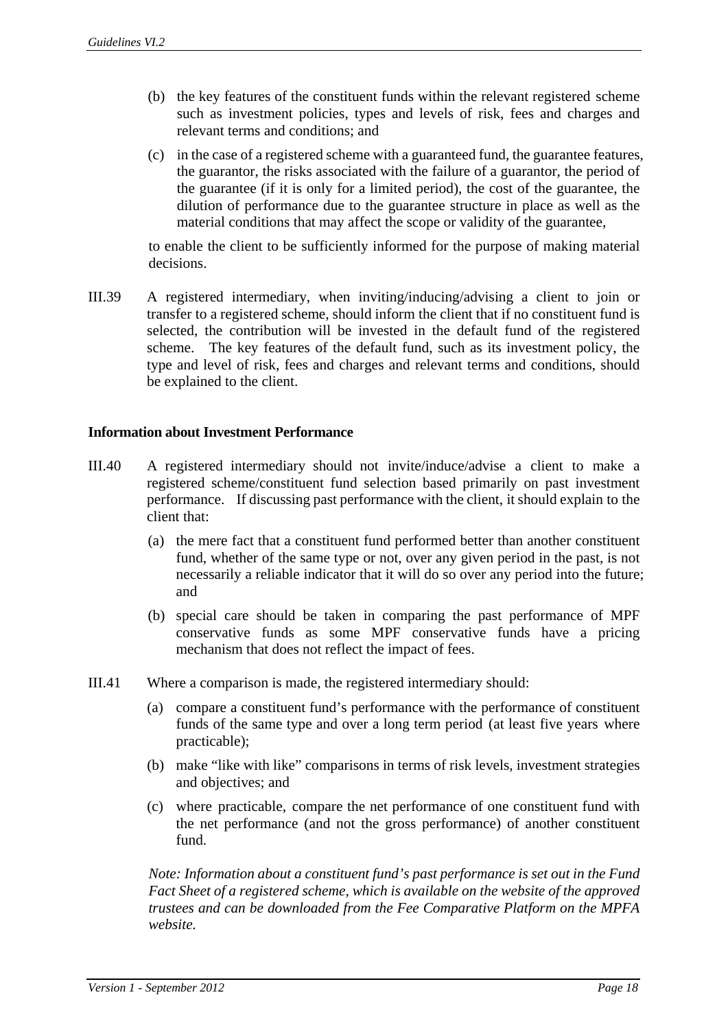- (b) the key features of the constituent funds within the relevant registered scheme such as investment policies, types and levels of risk, fees and charges and relevant terms and conditions; and
- (c) in the case of a registered scheme with a guaranteed fund, the guarantee features, the guarantor, the risks associated with the failure of a guarantor, the period of the guarantee (if it is only for a limited period), the cost of the guarantee, the dilution of performance due to the guarantee structure in place as well as the material conditions that may affect the scope or validity of the guarantee,

to enable the client to be sufficiently informed for the purpose of making material decisions.

III.39 A registered intermediary, when inviting/inducing/advising a client to join or transfer to a registered scheme, should inform the client that if no constituent fund is selected, the contribution will be invested in the default fund of the registered scheme. The key features of the default fund, such as its investment policy, the type and level of risk, fees and charges and relevant terms and conditions, should be explained to the client.

#### **Information about Investment Performance**

- III.40 A registered intermediary should not invite/induce/advise a client to make a registered scheme/constituent fund selection based primarily on past investment performance. If discussing past performance with the client, it should explain to the client that:
	- (a) the mere fact that a constituent fund performed better than another constituent fund, whether of the same type or not, over any given period in the past, is not necessarily a reliable indicator that it will do so over any period into the future; and
	- (b) special care should be taken in comparing the past performance of MPF conservative funds as some MPF conservative funds have a pricing mechanism that does not reflect the impact of fees.
- III.41 Where a comparison is made, the registered intermediary should:
	- (a) compare a constituent fund's performance with the performance of constituent funds of the same type and over a long term period (at least five years where practicable);
	- (b) make "like with like" comparisons in terms of risk levels, investment strategies and objectives; and
	- (c) where practicable, compare the net performance of one constituent fund with the net performance (and not the gross performance) of another constituent fund.

*Note: Information about a constituent fund's past performance is set out in the Fund Fact Sheet of a registered scheme, which is available on the website of the approved trustees and can be downloaded from the Fee Comparative Platform on the MPFA website.*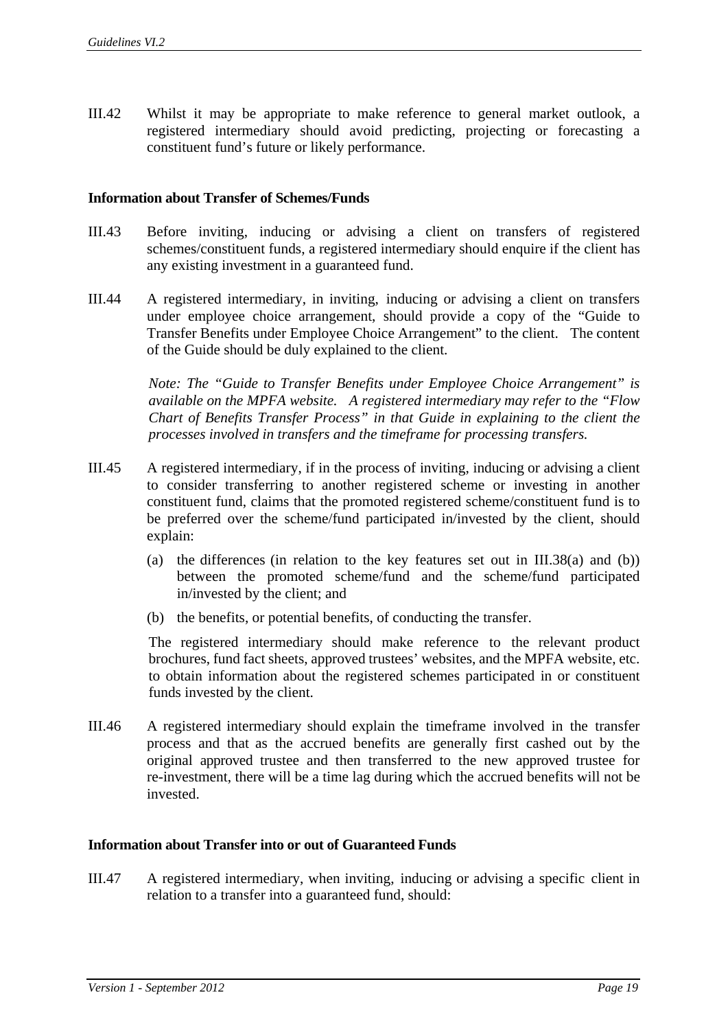III.42 Whilst it may be appropriate to make reference to general market outlook, a registered intermediary should avoid predicting, projecting or forecasting a constituent fund's future or likely performance.

#### **Information about Transfer of Schemes/Funds**

- III.43 Before inviting, inducing or advising a client on transfers of registered schemes/constituent funds, a registered intermediary should enquire if the client has any existing investment in a guaranteed fund.
- III.44 A registered intermediary, in inviting, inducing or advising a client on transfers under employee choice arrangement, should provide a copy of the "Guide to Transfer Benefits under Employee Choice Arrangement" to the client. The content of the Guide should be duly explained to the client.

*Note: The "Guide to Transfer Benefits under Employee Choice Arrangement" is available on the MPFA website. A registered intermediary may refer to the "Flow Chart of Benefits Transfer Process" in that Guide in explaining to the client the processes involved in transfers and the timeframe for processing transfers.* 

- III.45 A registered intermediary, if in the process of inviting, inducing or advising a client to consider transferring to another registered scheme or investing in another constituent fund, claims that the promoted registered scheme/constituent fund is to be preferred over the scheme/fund participated in/invested by the client, should explain:
	- (a) the differences (in relation to the key features set out in  $III.38(a)$  and (b)) between the promoted scheme/fund and the scheme/fund participated in/invested by the client; and
	- (b) the benefits, or potential benefits, of conducting the transfer.

The registered intermediary should make reference to the relevant product brochures, fund fact sheets, approved trustees' websites, and the MPFA website, etc. to obtain information about the registered schemes participated in or constituent funds invested by the client.

III.46 A registered intermediary should explain the timeframe involved in the transfer process and that as the accrued benefits are generally first cashed out by the original approved trustee and then transferred to the new approved trustee for re-investment, there will be a time lag during which the accrued benefits will not be invested.

#### **Information about Transfer into or out of Guaranteed Funds**

III.47 A registered intermediary, when inviting, inducing or advising a specific client in relation to a transfer into a guaranteed fund, should: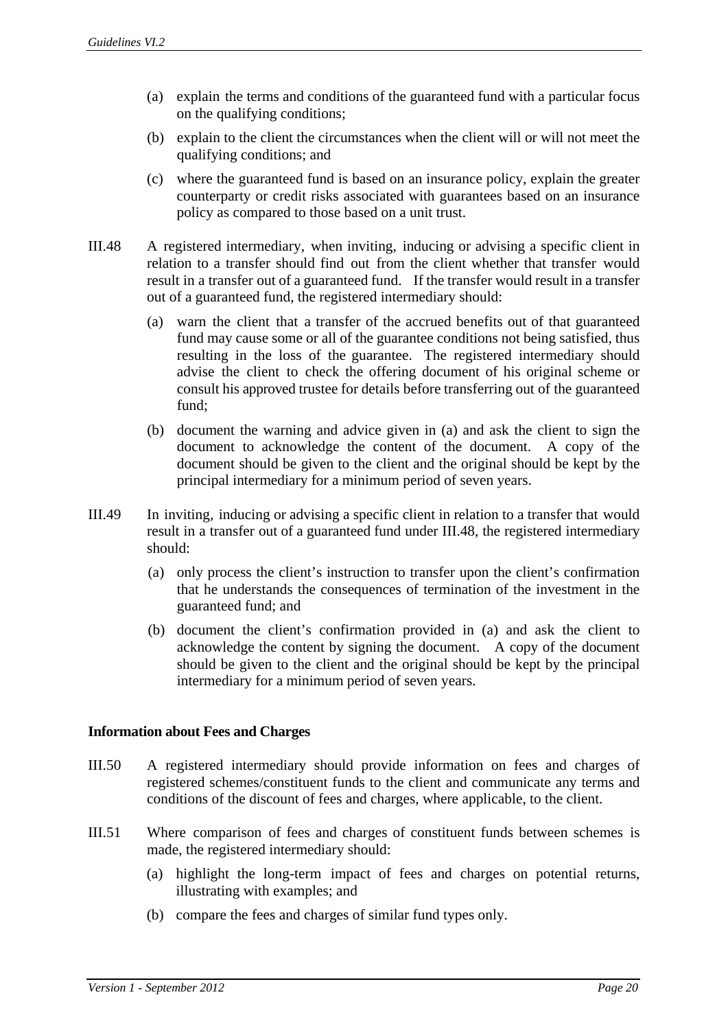- (a) explain the terms and conditions of the guaranteed fund with a particular focus on the qualifying conditions;
- (b) explain to the client the circumstances when the client will or will not meet the qualifying conditions; and
- (c) where the guaranteed fund is based on an insurance policy, explain the greater counterparty or credit risks associated with guarantees based on an insurance policy as compared to those based on a unit trust.
- III.48 A registered intermediary, when inviting, inducing or advising a specific client in relation to a transfer should find out from the client whether that transfer would result in a transfer out of a guaranteed fund. If the transfer would result in a transfer out of a guaranteed fund, the registered intermediary should:
	- (a) warn the client that a transfer of the accrued benefits out of that guaranteed fund may cause some or all of the guarantee conditions not being satisfied, thus resulting in the loss of the guarantee. The registered intermediary should advise the client to check the offering document of his original scheme or consult his approved trustee for details before transferring out of the guaranteed fund;
	- (b) document the warning and advice given in (a) and ask the client to sign the document to acknowledge the content of the document. A copy of the document should be given to the client and the original should be kept by the principal intermediary for a minimum period of seven years.
- III.49 In inviting, inducing or advising a specific client in relation to a transfer that would result in a transfer out of a guaranteed fund under III.48, the registered intermediary should:
	- (a) only process the client's instruction to transfer upon the client's confirmation that he understands the consequences of termination of the investment in the guaranteed fund; and
	- (b) document the client's confirmation provided in (a) and ask the client to acknowledge the content by signing the document. A copy of the document should be given to the client and the original should be kept by the principal intermediary for a minimum period of seven years.

#### **Information about Fees and Charges**

- III.50 A registered intermediary should provide information on fees and charges of registered schemes/constituent funds to the client and communicate any terms and conditions of the discount of fees and charges, where applicable, to the client.
- III.51 Where comparison of fees and charges of constituent funds between schemes is made, the registered intermediary should:
	- (a) highlight the long-term impact of fees and charges on potential returns, illustrating with examples; and
	- (b) compare the fees and charges of similar fund types only.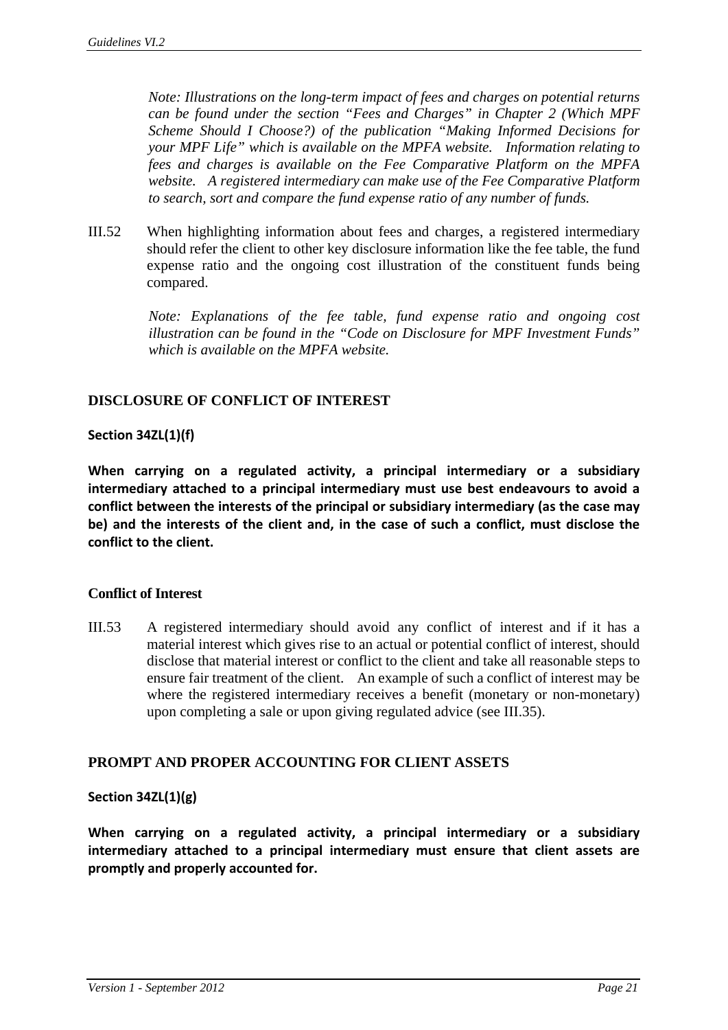*Note: Illustrations on the long-term impact of fees and charges on potential returns can be found under the section "Fees and Charges" in Chapter 2 (Which MPF Scheme Should I Choose?) of the publication "Making Informed Decisions for your MPF Life" which is available on the MPFA website. Information relating to fees and charges is available on the Fee Comparative Platform on the MPFA website. A registered intermediary can make use of the Fee Comparative Platform to search, sort and compare the fund expense ratio of any number of funds.* 

III.52 When highlighting information about fees and charges, a registered intermediary should refer the client to other key disclosure information like the fee table, the fund expense ratio and the ongoing cost illustration of the constituent funds being compared.

> *Note: Explanations of the fee table, fund expense ratio and ongoing cost illustration can be found in the "Code on Disclosure for MPF Investment Funds" which is available on the MPFA website.*

## **DISCLOSURE OF CONFLICT OF INTEREST**

## **Section 34ZL(1)(f)**

**When carrying on a regulated activity, a principal intermediary or a subsidiary intermediary attached to a principal intermediary must use best endeavours to avoid a conflict between the interests of the principal or subsidiary intermediary (as the case may be) and the interests of the client and, in the case of such a conflict, must disclose the conflict to the client.**

## **Conflict of Interest**

III.53 A registered intermediary should avoid any conflict of interest and if it has a material interest which gives rise to an actual or potential conflict of interest, should disclose that material interest or conflict to the client and take all reasonable steps to ensure fair treatment of the client. An example of such a conflict of interest may be where the registered intermediary receives a benefit (monetary or non-monetary) upon completing a sale or upon giving regulated advice (see III.35).

## **PROMPT AND PROPER ACCOUNTING FOR CLIENT ASSETS**

#### **Section 34ZL(1)(g)**

**When carrying on a regulated activity, a principal intermediary or a subsidiary intermediary attached to a principal intermediary must ensure that client assets are promptly and properly accounted for.**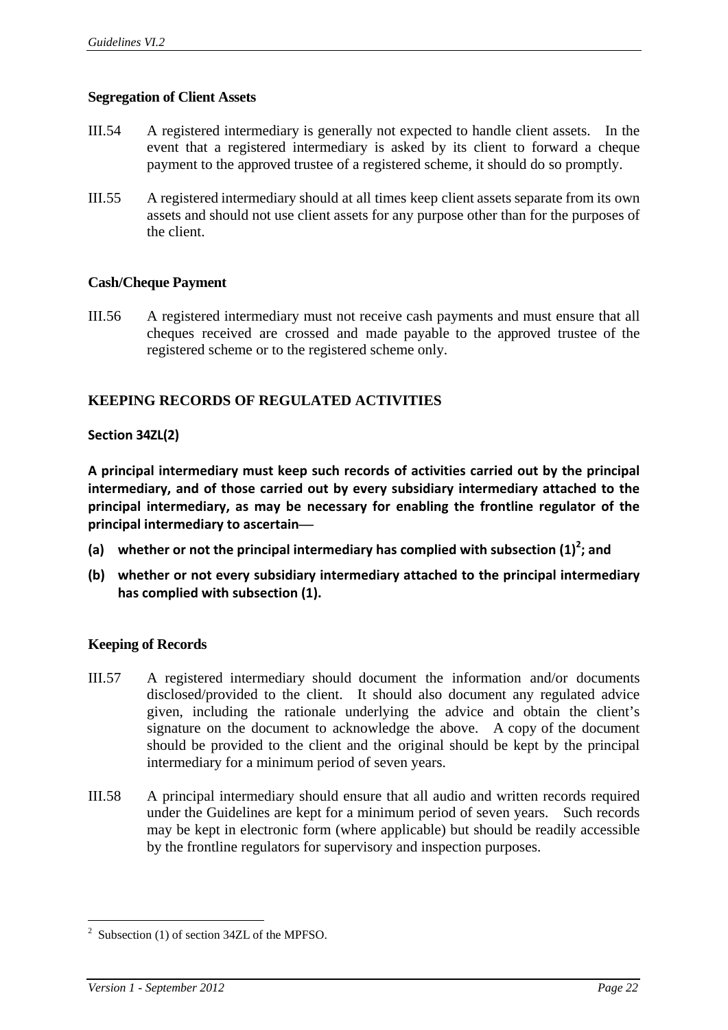## **Segregation of Client Assets**

- III.54 A registered intermediary is generally not expected to handle client assets. In the event that a registered intermediary is asked by its client to forward a cheque payment to the approved trustee of a registered scheme, it should do so promptly.
- III.55 A registered intermediary should at all times keep client assets separate from its own assets and should not use client assets for any purpose other than for the purposes of the client.

## **Cash/Cheque Payment**

III.56 A registered intermediary must not receive cash payments and must ensure that all cheques received are crossed and made payable to the approved trustee of the registered scheme or to the registered scheme only.

## **KEEPING RECORDS OF REGULATED ACTIVITIES**

#### **Section 34ZL(2)**

**A principal intermediary must keep such records of activities carried out by the principal intermediary, and of those carried out by every subsidiary intermediary attached to the principal intermediary, as may be necessary for enabling the frontline regulator of the principal intermediary to ascertain—**

- **(a) whether or not the principal intermediary has complied with subsection (1)<sup>2</sup> ; and**
- **(b) whether or not every subsidiary intermediary attached to the principal intermediary has complied with subsection (1).**

#### **Keeping of Records**

- III.57 A registered intermediary should document the information and/or documents disclosed/provided to the client. It should also document any regulated advice given, including the rationale underlying the advice and obtain the client's signature on the document to acknowledge the above. A copy of the document should be provided to the client and the original should be kept by the principal intermediary for a minimum period of seven years.
- III.58 A principal intermediary should ensure that all audio and written records required under the Guidelines are kept for a minimum period of seven years. Such records may be kept in electronic form (where applicable) but should be readily accessible by the frontline regulators for supervisory and inspection purposes.

1

<sup>&</sup>lt;sup>2</sup> Subsection (1) of section 34ZL of the MPFSO.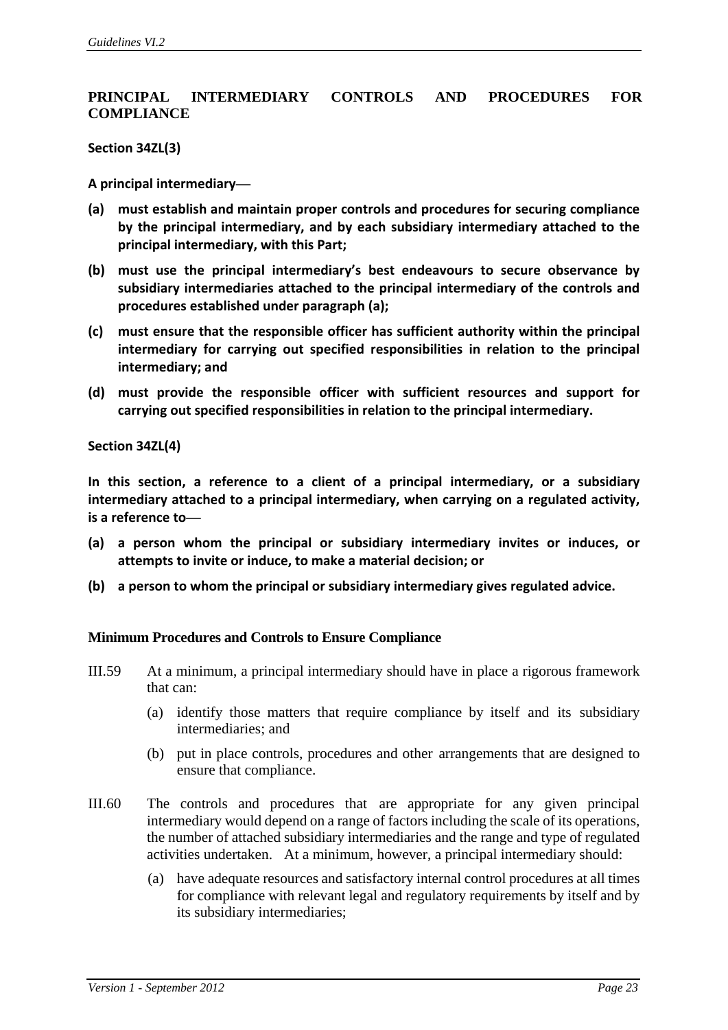## **PRINCIPAL INTERMEDIARY CONTROLS AND PROCEDURES FOR COMPLIANCE**

**Section 34ZL(3)**

**A principal intermediary—**

- **(a) must establish and maintain proper controls and procedures for securing compliance by the principal intermediary, and by each subsidiary intermediary attached to the principal intermediary, with this Part;**
- **(b) must use the principal intermediary's best endeavours to secure observance by subsidiary intermediaries attached to the principal intermediary of the controls and procedures established under paragraph (a);**
- **(c) must ensure that the responsible officer has sufficient authority within the principal intermediary for carrying out specified responsibilities in relation to the principal intermediary; and**
- **(d) must provide the responsible officer with sufficient resources and support for carrying out specified responsibilities in relation to the principal intermediary.**

**Section 34ZL(4)**

**In this section, a reference to a client of a principal intermediary, or a subsidiary intermediary attached to a principal intermediary, when carrying on a regulated activity, is a reference to—**

- **(a) a person whom the principal or subsidiary intermediary invites or induces, or attempts to invite or induce, to make a material decision; or**
- **(b) a person to whom the principal or subsidiary intermediary gives regulated advice.**

#### **Minimum Procedures and Controls to Ensure Compliance**

- III.59 At a minimum, a principal intermediary should have in place a rigorous framework that can:
	- (a) identify those matters that require compliance by itself and its subsidiary intermediaries; and
	- (b) put in place controls, procedures and other arrangements that are designed to ensure that compliance.
- III.60 The controls and procedures that are appropriate for any given principal intermediary would depend on a range of factors including the scale of its operations, the number of attached subsidiary intermediaries and the range and type of regulated activities undertaken. At a minimum, however, a principal intermediary should:
	- (a) have adequate resources and satisfactory internal control procedures at all times for compliance with relevant legal and regulatory requirements by itself and by its subsidiary intermediaries;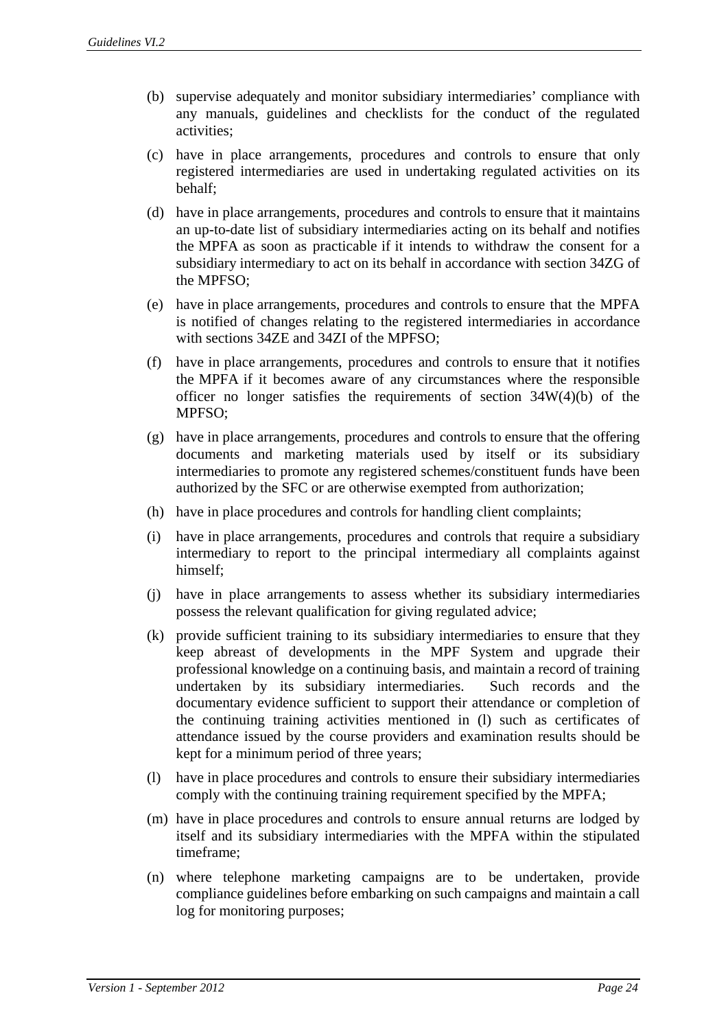- (b) supervise adequately and monitor subsidiary intermediaries' compliance with any manuals, guidelines and checklists for the conduct of the regulated activities;
- (c) have in place arrangements, procedures and controls to ensure that only registered intermediaries are used in undertaking regulated activities on its behalf;
- (d) have in place arrangements, procedures and controls to ensure that it maintains an up-to-date list of subsidiary intermediaries acting on its behalf and notifies the MPFA as soon as practicable if it intends to withdraw the consent for a subsidiary intermediary to act on its behalf in accordance with section 34ZG of the MPFSO;
- (e) have in place arrangements, procedures and controls to ensure that the MPFA is notified of changes relating to the registered intermediaries in accordance with sections 34ZE and 34ZI of the MPFSO;
- (f) have in place arrangements, procedures and controls to ensure that it notifies the MPFA if it becomes aware of any circumstances where the responsible officer no longer satisfies the requirements of section  $34W(4)(b)$  of the MPFSO;
- (g) have in place arrangements, procedures and controls to ensure that the offering documents and marketing materials used by itself or its subsidiary intermediaries to promote any registered schemes/constituent funds have been authorized by the SFC or are otherwise exempted from authorization;
- (h) have in place procedures and controls for handling client complaints;
- (i) have in place arrangements, procedures and controls that require a subsidiary intermediary to report to the principal intermediary all complaints against himself;
- (j) have in place arrangements to assess whether its subsidiary intermediaries possess the relevant qualification for giving regulated advice;
- (k) provide sufficient training to its subsidiary intermediaries to ensure that they keep abreast of developments in the MPF System and upgrade their professional knowledge on a continuing basis, and maintain a record of training undertaken by its subsidiary intermediaries. Such records and the documentary evidence sufficient to support their attendance or completion of the continuing training activities mentioned in (l) such as certificates of attendance issued by the course providers and examination results should be kept for a minimum period of three years;
- (l) have in place procedures and controls to ensure their subsidiary intermediaries comply with the continuing training requirement specified by the MPFA;
- (m) have in place procedures and controls to ensure annual returns are lodged by itself and its subsidiary intermediaries with the MPFA within the stipulated timeframe;
- (n) where telephone marketing campaigns are to be undertaken, provide compliance guidelines before embarking on such campaigns and maintain a call log for monitoring purposes;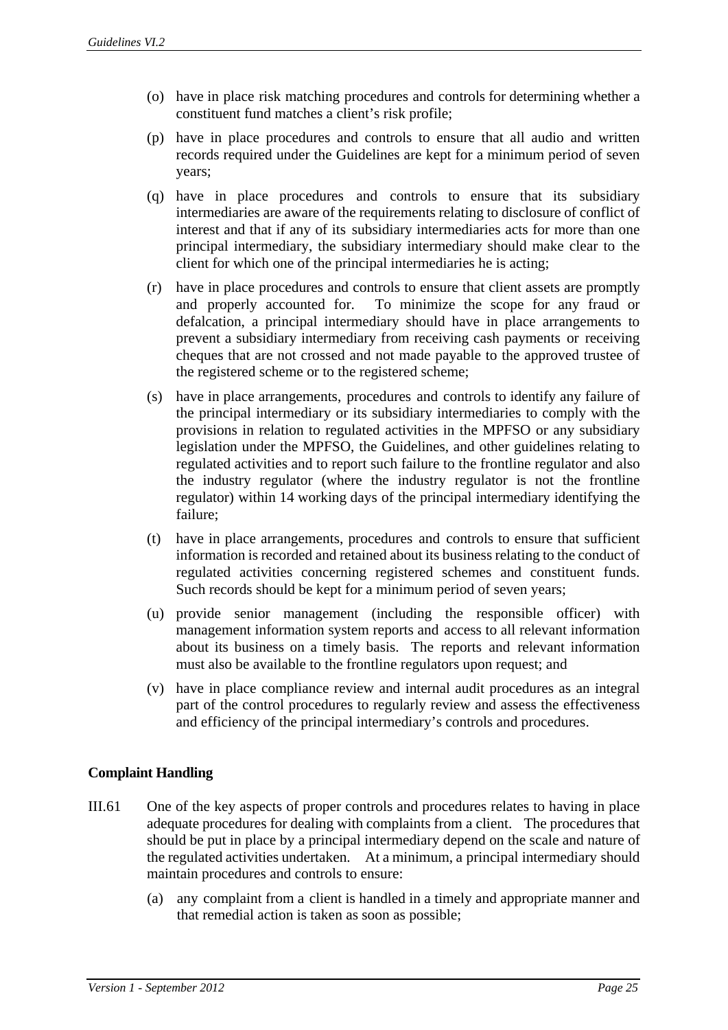- (o) have in place risk matching procedures and controls for determining whether a constituent fund matches a client's risk profile;
- (p) have in place procedures and controls to ensure that all audio and written records required under the Guidelines are kept for a minimum period of seven years;
- (q) have in place procedures and controls to ensure that its subsidiary intermediaries are aware of the requirements relating to disclosure of conflict of interest and that if any of its subsidiary intermediaries acts for more than one principal intermediary, the subsidiary intermediary should make clear to the client for which one of the principal intermediaries he is acting;
- (r) have in place procedures and controls to ensure that client assets are promptly and properly accounted for. To minimize the scope for any fraud or defalcation, a principal intermediary should have in place arrangements to prevent a subsidiary intermediary from receiving cash payments or receiving cheques that are not crossed and not made payable to the approved trustee of the registered scheme or to the registered scheme;
- (s) have in place arrangements, procedures and controls to identify any failure of the principal intermediary or its subsidiary intermediaries to comply with the provisions in relation to regulated activities in the MPFSO or any subsidiary legislation under the MPFSO, the Guidelines, and other guidelines relating to regulated activities and to report such failure to the frontline regulator and also the industry regulator (where the industry regulator is not the frontline regulator) within 14 working days of the principal intermediary identifying the failure;
- (t) have in place arrangements, procedures and controls to ensure that sufficient information is recorded and retained about its business relating to the conduct of regulated activities concerning registered schemes and constituent funds. Such records should be kept for a minimum period of seven years;
- (u) provide senior management (including the responsible officer) with management information system reports and access to all relevant information about its business on a timely basis. The reports and relevant information must also be available to the frontline regulators upon request; and
- (v) have in place compliance review and internal audit procedures as an integral part of the control procedures to regularly review and assess the effectiveness and efficiency of the principal intermediary's controls and procedures.

## **Complaint Handling**

- III.61 One of the key aspects of proper controls and procedures relates to having in place adequate procedures for dealing with complaints from a client. The procedures that should be put in place by a principal intermediary depend on the scale and nature of the regulated activities undertaken. At a minimum, a principal intermediary should maintain procedures and controls to ensure:
	- (a) any complaint from a client is handled in a timely and appropriate manner and that remedial action is taken as soon as possible;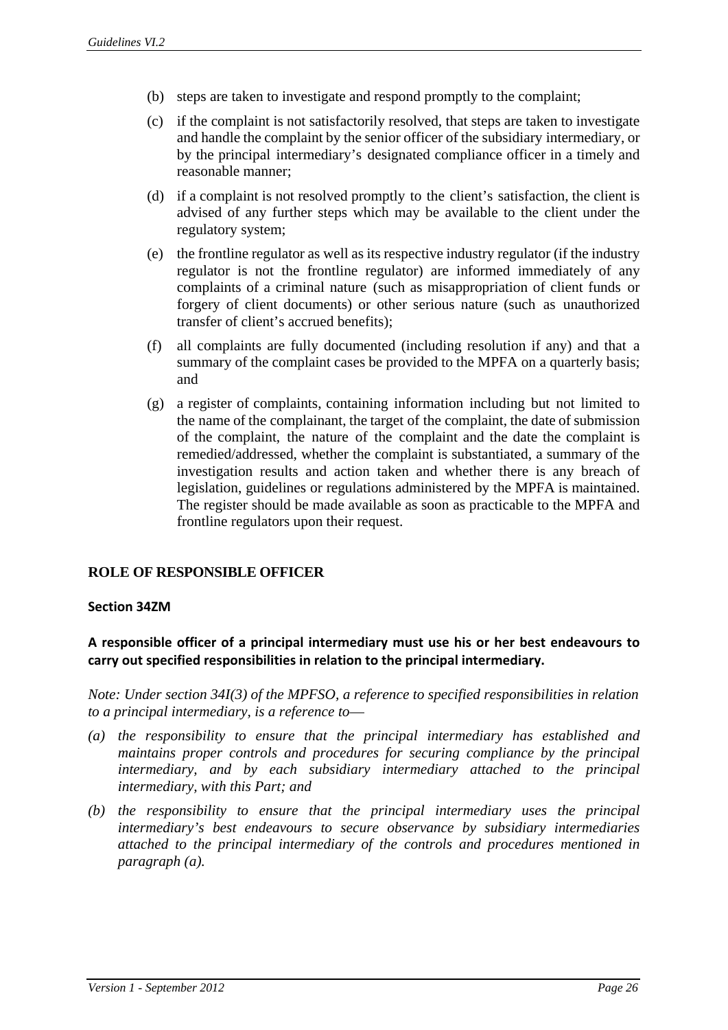- (b) steps are taken to investigate and respond promptly to the complaint;
- (c) if the complaint is not satisfactorily resolved, that steps are taken to investigate and handle the complaint by the senior officer of the subsidiary intermediary, or by the principal intermediary's designated compliance officer in a timely and reasonable manner;
- (d) if a complaint is not resolved promptly to the client's satisfaction, the client is advised of any further steps which may be available to the client under the regulatory system;
- (e) the frontline regulator as well as its respective industry regulator (if the industry regulator is not the frontline regulator) are informed immediately of any complaints of a criminal nature (such as misappropriation of client funds or forgery of client documents) or other serious nature (such as unauthorized transfer of client's accrued benefits);
- (f) all complaints are fully documented (including resolution if any) and that a summary of the complaint cases be provided to the MPFA on a quarterly basis; and
- (g) a register of complaints, containing information including but not limited to the name of the complainant, the target of the complaint, the date of submission of the complaint, the nature of the complaint and the date the complaint is remedied/addressed, whether the complaint is substantiated, a summary of the investigation results and action taken and whether there is any breach of legislation, guidelines or regulations administered by the MPFA is maintained. The register should be made available as soon as practicable to the MPFA and frontline regulators upon their request.

## **ROLE OF RESPONSIBLE OFFICER**

#### **Section 34ZM**

## **A responsible officer of a principal intermediary must use his or her best endeavours to carry out specified responsibilities in relation to the principal intermediary.**

*Note: Under section 34I(3) of the MPFSO, a reference to specified responsibilities in relation to a principal intermediary, is a reference to*—

- *(a) the responsibility to ensure that the principal intermediary has established and maintains proper controls and procedures for securing compliance by the principal intermediary, and by each subsidiary intermediary attached to the principal intermediary, with this Part; and*
- *(b) the responsibility to ensure that the principal intermediary uses the principal intermediary's best endeavours to secure observance by subsidiary intermediaries attached to the principal intermediary of the controls and procedures mentioned in paragraph (a).*